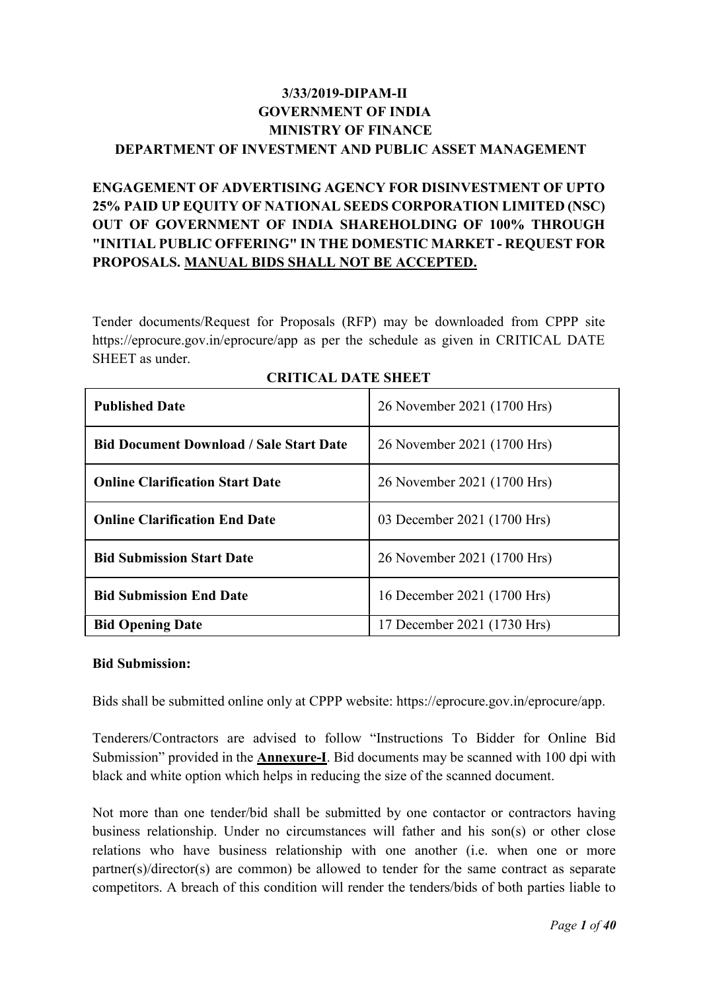## 3/33/2019-DIPAM-II GOVERNMENT OF INDIA MINISTRY OF FINANCE DEPARTMENT OF INVESTMENT AND PUBLIC ASSET MANAGEMENT

## ENGAGEMENT OF ADVERTISING AGENCY FOR DISINVESTMENT OF UPTO 25% PAID UP EQUITY OF NATIONAL SEEDS CORPORATION LIMITED (NSC) OUT OF GOVERNMENT OF INDIA SHAREHOLDING OF 100% THROUGH "INITIAL PUBLIC OFFERING" IN THE DOMESTIC MARKET - REQUEST FOR PROPOSALS. MANUAL BIDS SHALL NOT BE ACCEPTED.

Tender documents/Request for Proposals (RFP) may be downloaded from CPPP site https://eprocure.gov.in/eprocure/app as per the schedule as given in CRITICAL DATE SHEET as under.

| <b>Published Date</b>                          | 26 November 2021 (1700 Hrs) |
|------------------------------------------------|-----------------------------|
| <b>Bid Document Download / Sale Start Date</b> | 26 November 2021 (1700 Hrs) |
| <b>Online Clarification Start Date</b>         | 26 November 2021 (1700 Hrs) |
| <b>Online Clarification End Date</b>           | 03 December 2021 (1700 Hrs) |
| <b>Bid Submission Start Date</b>               | 26 November 2021 (1700 Hrs) |
| <b>Bid Submission End Date</b>                 | 16 December 2021 (1700 Hrs) |
| <b>Bid Opening Date</b>                        | 17 December 2021 (1730 Hrs) |

#### CRITICAL DATE SHEET

#### Bid Submission:

Bids shall be submitted online only at CPPP website: https://eprocure.gov.in/eprocure/app.

Tenderers/Contractors are advised to follow "Instructions To Bidder for Online Bid Submission" provided in the **Annexure-I**. Bid documents may be scanned with 100 dpi with black and white option which helps in reducing the size of the scanned document.

Not more than one tender/bid shall be submitted by one contactor or contractors having business relationship. Under no circumstances will father and his son(s) or other close relations who have business relationship with one another (i.e. when one or more partner(s)/director(s) are common) be allowed to tender for the same contract as separate competitors. A breach of this condition will render the tenders/bids of both parties liable to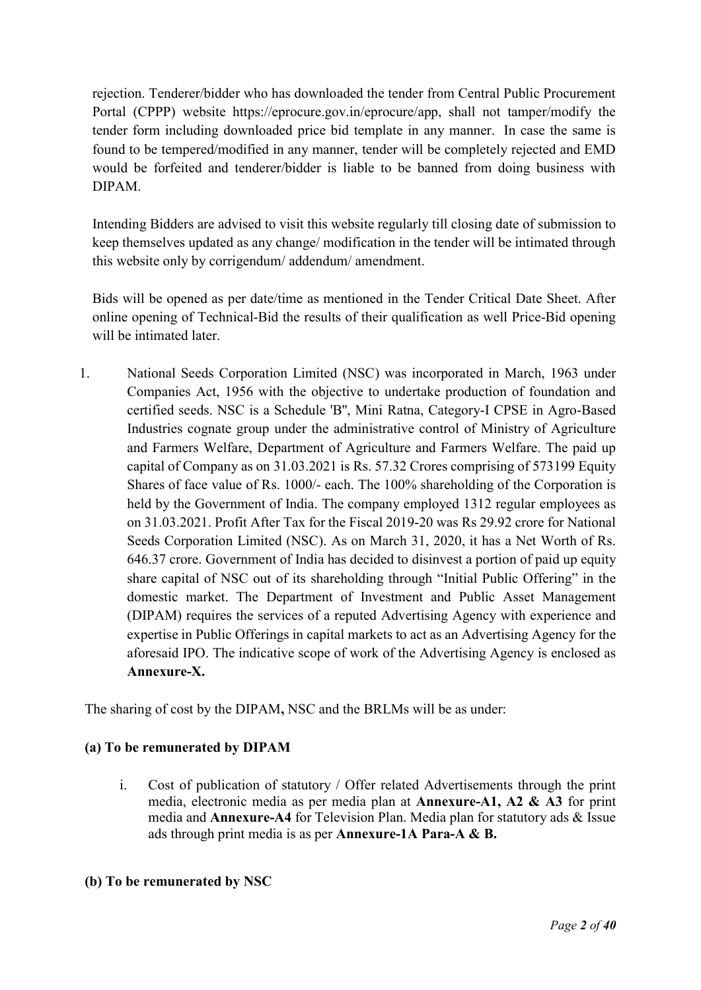rejection. Tenderer/bidder who has downloaded the tender from Central Public Procurement Portal (CPPP) website https://eprocure.gov.in/eprocure/app, shall not tamper/modify the tender form including downloaded price bid template in any manner. In case the same is found to be tempered/modified in any manner, tender will be completely rejected and EMD would be forfeited and tenderer/bidder is liable to be banned from doing business with DIPAM.

Intending Bidders are advised to visit this website regularly till closing date of submission to keep themselves updated as any change/ modification in the tender will be intimated through this website only by corrigendum/ addendum/ amendment.

Bids will be opened as per date/time as mentioned in the Tender Critical Date Sheet. After online opening of Technical-Bid the results of their qualification as well Price-Bid opening will be intimated later.

1. National Seeds Corporation Limited (NSC) was incorporated in March, 1963 under Companies Act, 1956 with the objective to undertake production of foundation and certified seeds. NSC is a Schedule 'B'', Mini Ratna, Category-I CPSE in Agro-Based Industries cognate group under the administrative control of Ministry of Agriculture and Farmers Welfare, Department of Agriculture and Farmers Welfare. The paid up capital of Company as on 31.03.2021 is Rs. 57.32 Crores comprising of 573199 Equity Shares of face value of Rs. 1000/- each. The 100% shareholding of the Corporation is held by the Government of India. The company employed 1312 regular employees as on 31.03.2021. Profit After Tax for the Fiscal 2019-20 was Rs 29.92 crore for National Seeds Corporation Limited (NSC). As on March 31, 2020, it has a Net Worth of Rs. 646.37 crore. Government of India has decided to disinvest a portion of paid up equity share capital of NSC out of its shareholding through "Initial Public Offering" in the domestic market. The Department of Investment and Public Asset Management (DIPAM) requires the services of a reputed Advertising Agency with experience and expertise in Public Offerings in capital markets to act as an Advertising Agency for the aforesaid IPO. The indicative scope of work of the Advertising Agency is enclosed as Annexure-X.

The sharing of cost by the DIPAM, NSC and the BRLMs will be as under:

### (a) To be remunerated by DIPAM

i. Cost of publication of statutory / Offer related Advertisements through the print media, electronic media as per media plan at Annexure-A1, A2 & A3 for print media and Annexure-A4 for Television Plan. Media plan for statutory ads & Issue ads through print media is as per Annexure-1A Para-A & B.

#### (b) To be remunerated by NSC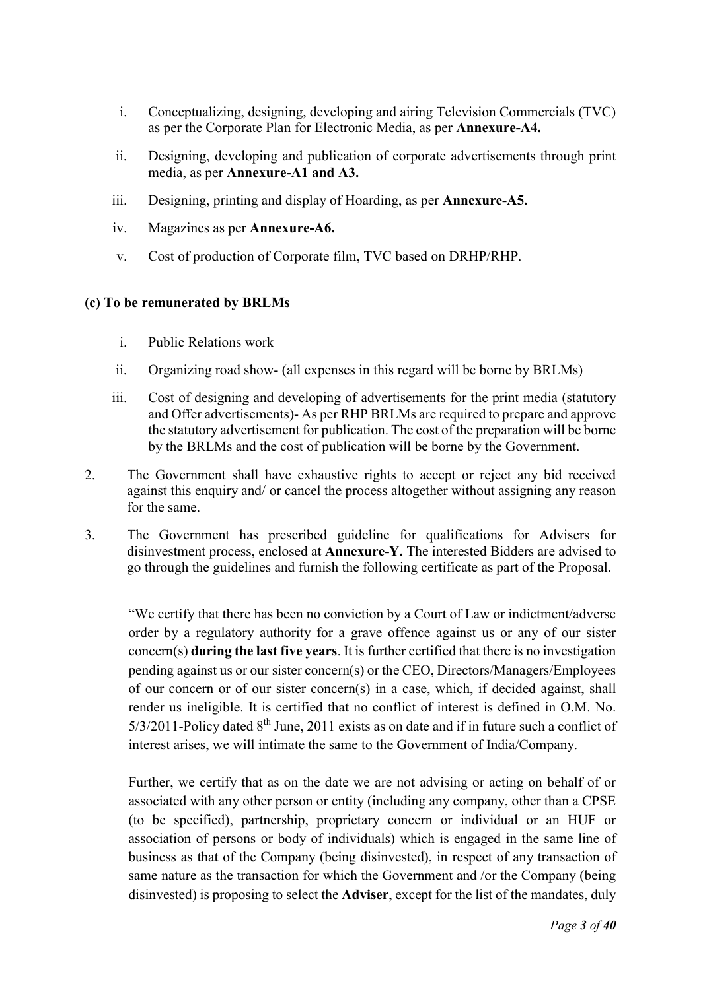- i. Conceptualizing, designing, developing and airing Television Commercials (TVC) as per the Corporate Plan for Electronic Media, as per Annexure-A4.
- ii. Designing, developing and publication of corporate advertisements through print media, as per Annexure-A1 and A3.
- iii. Designing, printing and display of Hoarding, as per Annexure-A5.
- iv. Magazines as per Annexure-A6.
- v. Cost of production of Corporate film, TVC based on DRHP/RHP.

#### (c) To be remunerated by BRLMs

- i. Public Relations work
- ii. Organizing road show- (all expenses in this regard will be borne by BRLMs)
- iii. Cost of designing and developing of advertisements for the print media (statutory and Offer advertisements)- As per RHP BRLMs are required to prepare and approve the statutory advertisement for publication. The cost of the preparation will be borne by the BRLMs and the cost of publication will be borne by the Government.
- 2. The Government shall have exhaustive rights to accept or reject any bid received against this enquiry and/ or cancel the process altogether without assigning any reason for the same.
- 3. The Government has prescribed guideline for qualifications for Advisers for disinvestment process, enclosed at Annexure-Y. The interested Bidders are advised to go through the guidelines and furnish the following certificate as part of the Proposal.

"We certify that there has been no conviction by a Court of Law or indictment/adverse order by a regulatory authority for a grave offence against us or any of our sister concern(s) during the last five years. It is further certified that there is no investigation pending against us or our sister concern(s) or the CEO, Directors/Managers/Employees of our concern or of our sister concern(s) in a case, which, if decided against, shall render us ineligible. It is certified that no conflict of interest is defined in O.M. No.  $5/3/2011$ -Policy dated  $8<sup>th</sup>$  June, 2011 exists as on date and if in future such a conflict of interest arises, we will intimate the same to the Government of India/Company.

Further, we certify that as on the date we are not advising or acting on behalf of or associated with any other person or entity (including any company, other than a CPSE (to be specified), partnership, proprietary concern or individual or an HUF or association of persons or body of individuals) which is engaged in the same line of business as that of the Company (being disinvested), in respect of any transaction of same nature as the transaction for which the Government and /or the Company (being disinvested) is proposing to select the Adviser, except for the list of the mandates, duly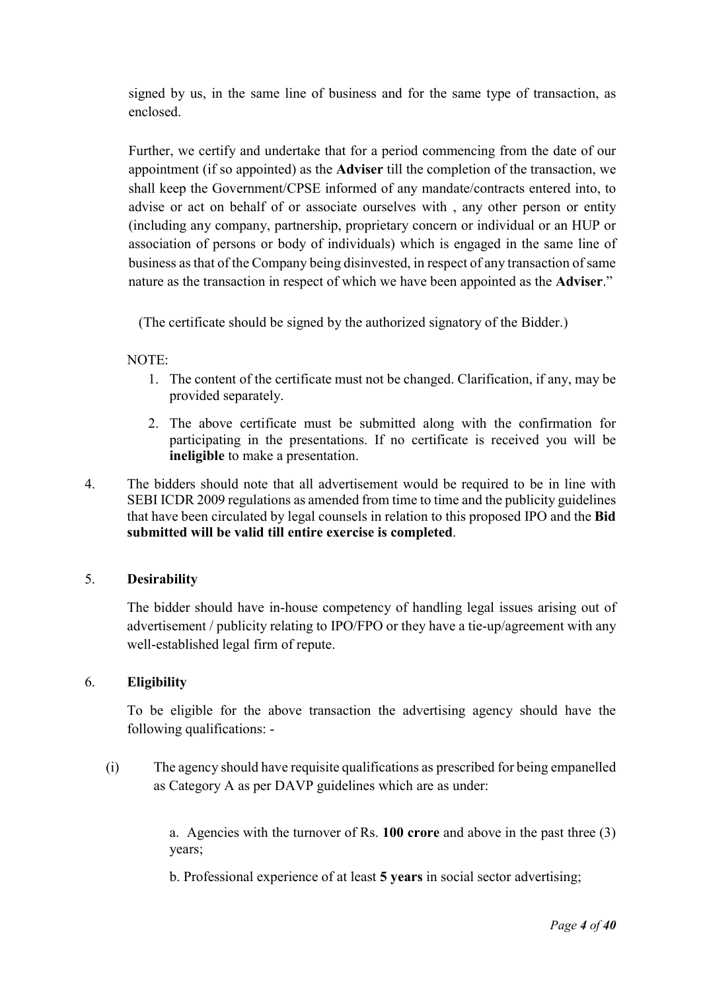signed by us, in the same line of business and for the same type of transaction, as enclosed.

Further, we certify and undertake that for a period commencing from the date of our appointment (if so appointed) as the Adviser till the completion of the transaction, we shall keep the Government/CPSE informed of any mandate/contracts entered into, to advise or act on behalf of or associate ourselves with , any other person or entity (including any company, partnership, proprietary concern or individual or an HUP or association of persons or body of individuals) which is engaged in the same line of business as that of the Company being disinvested, in respect of any transaction of same nature as the transaction in respect of which we have been appointed as the Adviser."

(The certificate should be signed by the authorized signatory of the Bidder.)

#### NOTE:

- 1. The content of the certificate must not be changed. Clarification, if any, may be provided separately.
- 2. The above certificate must be submitted along with the confirmation for participating in the presentations. If no certificate is received you will be ineligible to make a presentation.
- 4. The bidders should note that all advertisement would be required to be in line with SEBI ICDR 2009 regulations as amended from time to time and the publicity guidelines that have been circulated by legal counsels in relation to this proposed IPO and the Bid submitted will be valid till entire exercise is completed.

#### 5. Desirability

The bidder should have in-house competency of handling legal issues arising out of advertisement / publicity relating to IPO/FPO or they have a tie-up/agreement with any well-established legal firm of repute.

#### 6. Eligibility

To be eligible for the above transaction the advertising agency should have the following qualifications: -

(i) The agency should have requisite qualifications as prescribed for being empanelled as Category A as per DAVP guidelines which are as under:

> a. Agencies with the turnover of Rs. 100 crore and above in the past three (3) years;

b. Professional experience of at least 5 years in social sector advertising;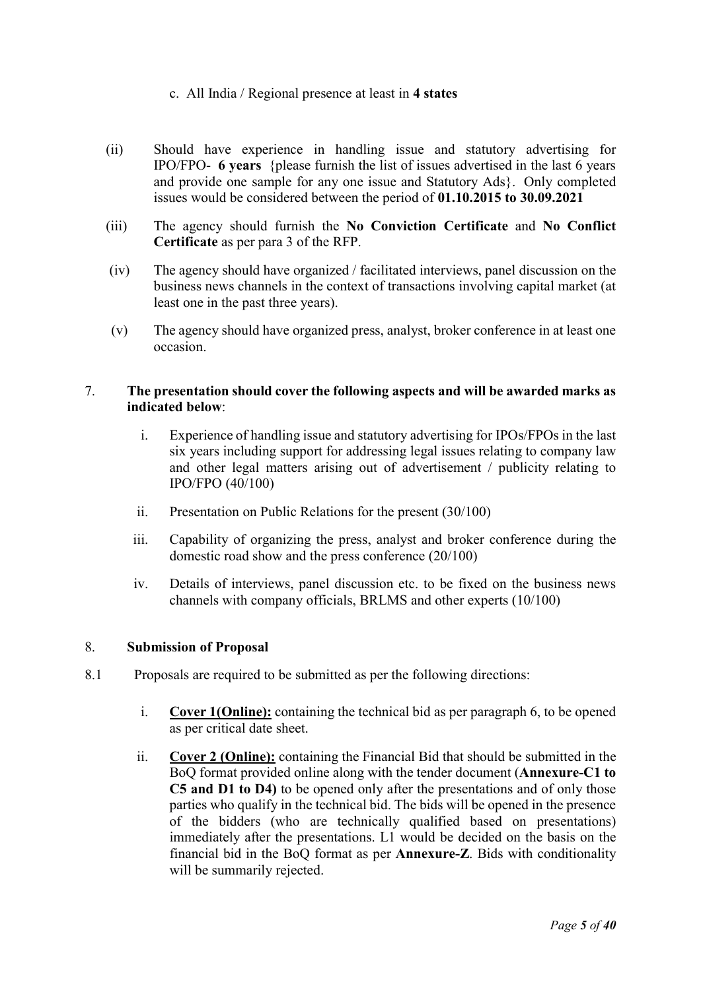#### c. All India / Regional presence at least in 4 states

- (ii) Should have experience in handling issue and statutory advertising for IPO/FPO- 6 years {please furnish the list of issues advertised in the last 6 years and provide one sample for any one issue and Statutory Ads}. Only completed issues would be considered between the period of 01.10.2015 to 30.09.2021
- (iii) The agency should furnish the No Conviction Certificate and No Conflict Certificate as per para 3 of the RFP.
- (iv) The agency should have organized / facilitated interviews, panel discussion on the business news channels in the context of transactions involving capital market (at least one in the past three years).
- (v) The agency should have organized press, analyst, broker conference in at least one occasion.

#### 7. The presentation should cover the following aspects and will be awarded marks as indicated below:

- i. Experience of handling issue and statutory advertising for IPOs/FPOs in the last six years including support for addressing legal issues relating to company law and other legal matters arising out of advertisement / publicity relating to IPO/FPO (40/100)
- ii. Presentation on Public Relations for the present (30/100)
- iii. Capability of organizing the press, analyst and broker conference during the domestic road show and the press conference (20/100)
- iv. Details of interviews, panel discussion etc. to be fixed on the business news channels with company officials, BRLMS and other experts (10/100)

#### 8. Submission of Proposal

- 8.1 Proposals are required to be submitted as per the following directions:
	- i. Cover 1(Online): containing the technical bid as per paragraph 6, to be opened as per critical date sheet.
	- ii. Cover 2 (Online): containing the Financial Bid that should be submitted in the BoQ format provided online along with the tender document (Annexure-C1 to C5 and D1 to D4) to be opened only after the presentations and of only those parties who qualify in the technical bid. The bids will be opened in the presence of the bidders (who are technically qualified based on presentations) immediately after the presentations. L1 would be decided on the basis on the financial bid in the BoQ format as per Annexure-Z. Bids with conditionality will be summarily rejected.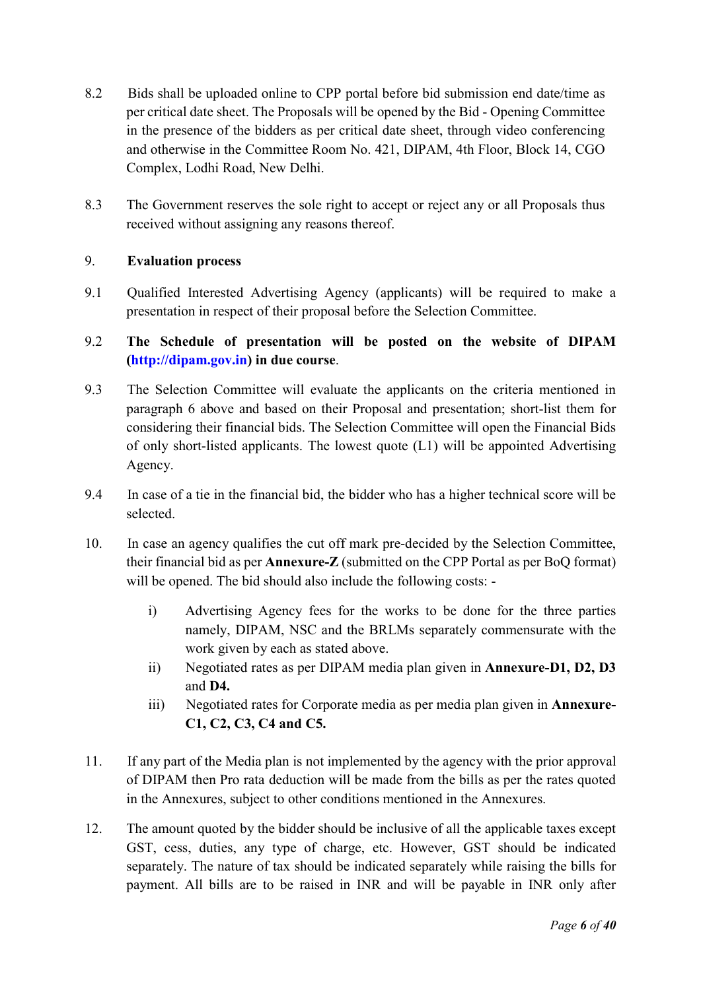- 8.2 Bids shall be uploaded online to CPP portal before bid submission end date/time as per critical date sheet. The Proposals will be opened by the Bid - Opening Committee in the presence of the bidders as per critical date sheet, through video conferencing and otherwise in the Committee Room No. 421, DIPAM, 4th Floor, Block 14, CGO Complex, Lodhi Road, New Delhi.
- 8.3 The Government reserves the sole right to accept or reject any or all Proposals thus received without assigning any reasons thereof.

#### 9. Evaluation process

9.1 Qualified Interested Advertising Agency (applicants) will be required to make a presentation in respect of their proposal before the Selection Committee.

### 9.2 The Schedule of presentation will be posted on the website of DIPAM (http://dipam.gov.in) in due course.

- 9.3 The Selection Committee will evaluate the applicants on the criteria mentioned in paragraph 6 above and based on their Proposal and presentation; short-list them for considering their financial bids. The Selection Committee will open the Financial Bids of only short-listed applicants. The lowest quote (L1) will be appointed Advertising Agency.
- 9.4 In case of a tie in the financial bid, the bidder who has a higher technical score will be selected.
- 10. In case an agency qualifies the cut off mark pre-decided by the Selection Committee, their financial bid as per Annexure-Z (submitted on the CPP Portal as per BoQ format) will be opened. The bid should also include the following costs:
	- i) Advertising Agency fees for the works to be done for the three parties namely, DIPAM, NSC and the BRLMs separately commensurate with the work given by each as stated above.
	- ii) Negotiated rates as per DIPAM media plan given in Annexure-D1, D2, D3 and D4.
	- iii) Negotiated rates for Corporate media as per media plan given in Annexure-C1, C2, C3, C4 and C5.
- 11. If any part of the Media plan is not implemented by the agency with the prior approval of DIPAM then Pro rata deduction will be made from the bills as per the rates quoted in the Annexures, subject to other conditions mentioned in the Annexures.
- 12. The amount quoted by the bidder should be inclusive of all the applicable taxes except GST, cess, duties, any type of charge, etc. However, GST should be indicated separately. The nature of tax should be indicated separately while raising the bills for payment. All bills are to be raised in INR and will be payable in INR only after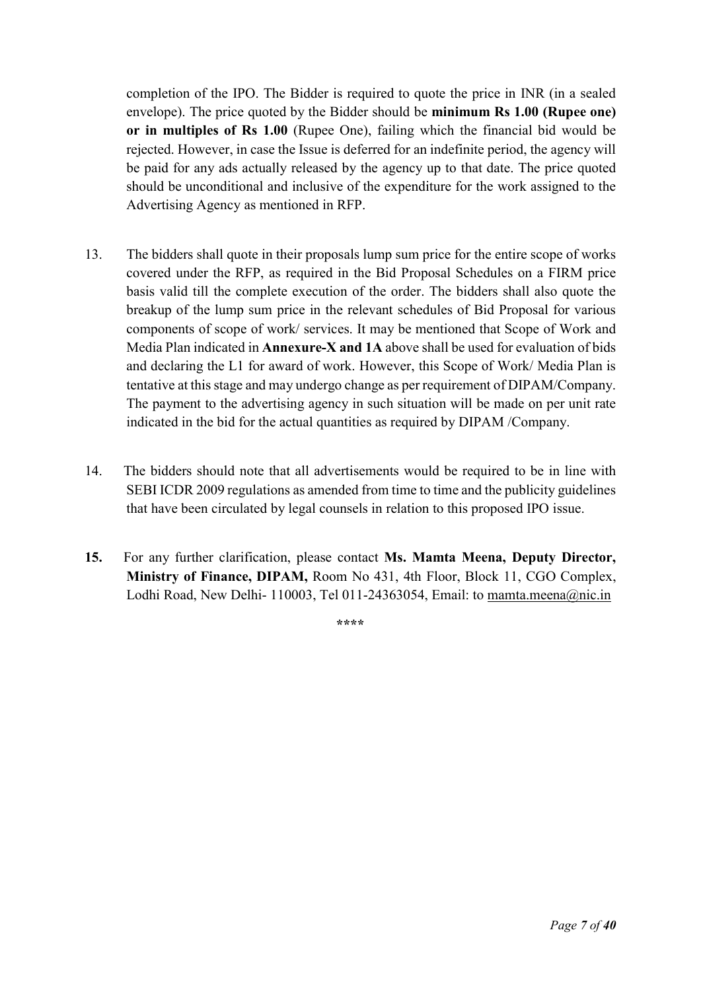completion of the IPO. The Bidder is required to quote the price in INR (in a sealed envelope). The price quoted by the Bidder should be minimum Rs 1.00 (Rupee one) or in multiples of Rs 1.00 (Rupee One), failing which the financial bid would be rejected. However, in case the Issue is deferred for an indefinite period, the agency will be paid for any ads actually released by the agency up to that date. The price quoted should be unconditional and inclusive of the expenditure for the work assigned to the Advertising Agency as mentioned in RFP.

- 13. The bidders shall quote in their proposals lump sum price for the entire scope of works covered under the RFP, as required in the Bid Proposal Schedules on a FIRM price basis valid till the complete execution of the order. The bidders shall also quote the breakup of the lump sum price in the relevant schedules of Bid Proposal for various components of scope of work/ services. It may be mentioned that Scope of Work and Media Plan indicated in Annexure-X and 1A above shall be used for evaluation of bids and declaring the L1 for award of work. However, this Scope of Work/ Media Plan is tentative at this stage and may undergo change as per requirement of DIPAM/Company. The payment to the advertising agency in such situation will be made on per unit rate indicated in the bid for the actual quantities as required by DIPAM /Company.
- 14. The bidders should note that all advertisements would be required to be in line with SEBI ICDR 2009 regulations as amended from time to time and the publicity guidelines that have been circulated by legal counsels in relation to this proposed IPO issue.
- 15. For any further clarification, please contact Ms. Mamta Meena, Deputy Director, Ministry of Finance, DIPAM, Room No 431, 4th Floor, Block 11, CGO Complex, Lodhi Road, New Delhi- 110003, Tel 011-24363054, Email: to mamta.meena@nic.in

\*\*\*\*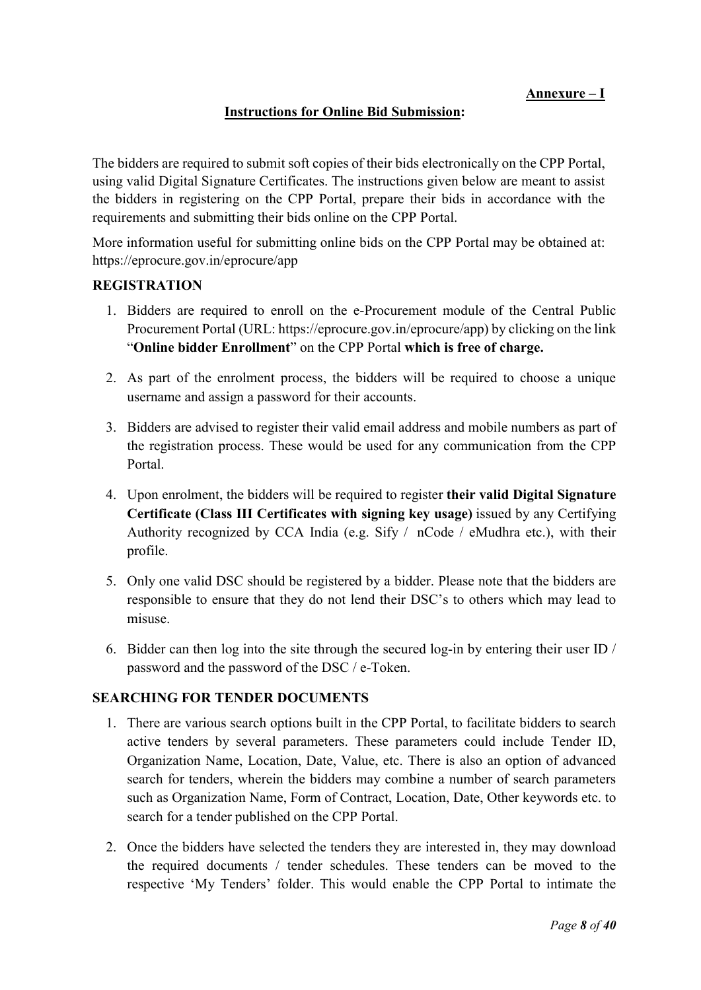#### Instructions for Online Bid Submission:

The bidders are required to submit soft copies of their bids electronically on the CPP Portal, using valid Digital Signature Certificates. The instructions given below are meant to assist the bidders in registering on the CPP Portal, prepare their bids in accordance with the requirements and submitting their bids online on the CPP Portal.

More information useful for submitting online bids on the CPP Portal may be obtained at: https://eprocure.gov.in/eprocure/app

#### REGISTRATION

- 1. Bidders are required to enroll on the e-Procurement module of the Central Public Procurement Portal (URL: https://eprocure.gov.in/eprocure/app) by clicking on the link "Online bidder Enrollment" on the CPP Portal which is free of charge.
- 2. As part of the enrolment process, the bidders will be required to choose a unique username and assign a password for their accounts.
- 3. Bidders are advised to register their valid email address and mobile numbers as part of the registration process. These would be used for any communication from the CPP Portal.
- 4. Upon enrolment, the bidders will be required to register their valid Digital Signature Certificate (Class III Certificates with signing key usage) issued by any Certifying Authority recognized by CCA India (e.g. Sify / nCode / eMudhra etc.), with their profile.
- 5. Only one valid DSC should be registered by a bidder. Please note that the bidders are responsible to ensure that they do not lend their DSC's to others which may lead to misuse.
- 6. Bidder can then log into the site through the secured log-in by entering their user ID / password and the password of the DSC / e-Token.

#### SEARCHING FOR TENDER DOCUMENTS

- 1. There are various search options built in the CPP Portal, to facilitate bidders to search active tenders by several parameters. These parameters could include Tender ID, Organization Name, Location, Date, Value, etc. There is also an option of advanced search for tenders, wherein the bidders may combine a number of search parameters such as Organization Name, Form of Contract, Location, Date, Other keywords etc. to search for a tender published on the CPP Portal.
- 2. Once the bidders have selected the tenders they are interested in, they may download the required documents / tender schedules. These tenders can be moved to the respective 'My Tenders' folder. This would enable the CPP Portal to intimate the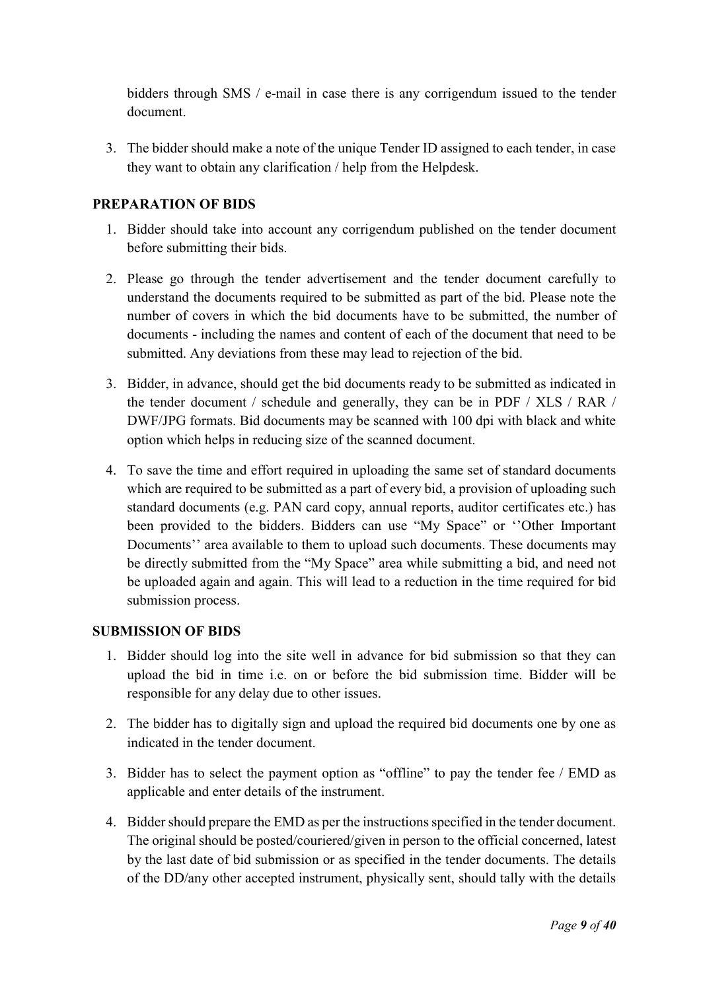bidders through SMS / e-mail in case there is any corrigendum issued to the tender document.

3. The bidder should make a note of the unique Tender ID assigned to each tender, in case they want to obtain any clarification / help from the Helpdesk.

#### PREPARATION OF BIDS

- 1. Bidder should take into account any corrigendum published on the tender document before submitting their bids.
- 2. Please go through the tender advertisement and the tender document carefully to understand the documents required to be submitted as part of the bid. Please note the number of covers in which the bid documents have to be submitted, the number of documents - including the names and content of each of the document that need to be submitted. Any deviations from these may lead to rejection of the bid.
- 3. Bidder, in advance, should get the bid documents ready to be submitted as indicated in the tender document / schedule and generally, they can be in PDF / XLS / RAR / DWF/JPG formats. Bid documents may be scanned with 100 dpi with black and white option which helps in reducing size of the scanned document.
- 4. To save the time and effort required in uploading the same set of standard documents which are required to be submitted as a part of every bid, a provision of uploading such standard documents (e.g. PAN card copy, annual reports, auditor certificates etc.) has been provided to the bidders. Bidders can use "My Space" or ''Other Important Documents'' area available to them to upload such documents. These documents may be directly submitted from the "My Space" area while submitting a bid, and need not be uploaded again and again. This will lead to a reduction in the time required for bid submission process.

#### SUBMISSION OF BIDS

- 1. Bidder should log into the site well in advance for bid submission so that they can upload the bid in time i.e. on or before the bid submission time. Bidder will be responsible for any delay due to other issues.
- 2. The bidder has to digitally sign and upload the required bid documents one by one as indicated in the tender document.
- 3. Bidder has to select the payment option as "offline" to pay the tender fee / EMD as applicable and enter details of the instrument.
- 4. Bidder should prepare the EMD as per the instructions specified in the tender document. The original should be posted/couriered/given in person to the official concerned, latest by the last date of bid submission or as specified in the tender documents. The details of the DD/any other accepted instrument, physically sent, should tally with the details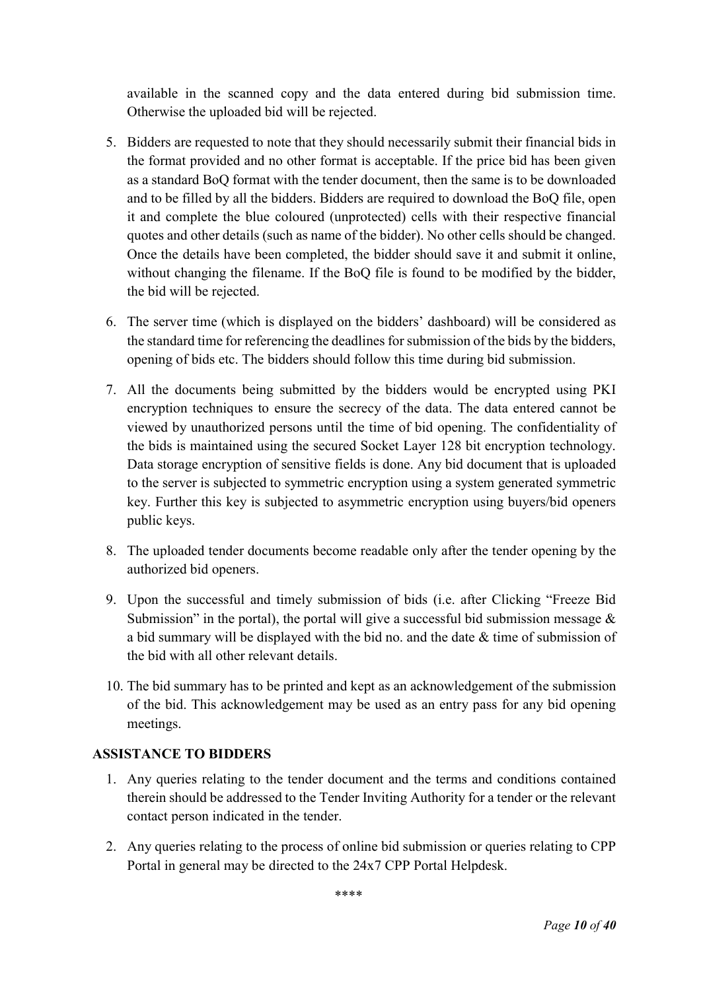available in the scanned copy and the data entered during bid submission time. Otherwise the uploaded bid will be rejected.

- 5. Bidders are requested to note that they should necessarily submit their financial bids in the format provided and no other format is acceptable. If the price bid has been given as a standard BoQ format with the tender document, then the same is to be downloaded and to be filled by all the bidders. Bidders are required to download the BoQ file, open it and complete the blue coloured (unprotected) cells with their respective financial quotes and other details (such as name of the bidder). No other cells should be changed. Once the details have been completed, the bidder should save it and submit it online, without changing the filename. If the BoQ file is found to be modified by the bidder, the bid will be rejected.
- 6. The server time (which is displayed on the bidders' dashboard) will be considered as the standard time for referencing the deadlines for submission of the bids by the bidders, opening of bids etc. The bidders should follow this time during bid submission.
- 7. All the documents being submitted by the bidders would be encrypted using PKI encryption techniques to ensure the secrecy of the data. The data entered cannot be viewed by unauthorized persons until the time of bid opening. The confidentiality of the bids is maintained using the secured Socket Layer 128 bit encryption technology. Data storage encryption of sensitive fields is done. Any bid document that is uploaded to the server is subjected to symmetric encryption using a system generated symmetric key. Further this key is subjected to asymmetric encryption using buyers/bid openers public keys.
- 8. The uploaded tender documents become readable only after the tender opening by the authorized bid openers.
- 9. Upon the successful and timely submission of bids (i.e. after Clicking "Freeze Bid Submission" in the portal), the portal will give a successful bid submission message  $\&$ a bid summary will be displayed with the bid no. and the date & time of submission of the bid with all other relevant details.
- 10. The bid summary has to be printed and kept as an acknowledgement of the submission of the bid. This acknowledgement may be used as an entry pass for any bid opening meetings.

#### ASSISTANCE TO BIDDERS

- 1. Any queries relating to the tender document and the terms and conditions contained therein should be addressed to the Tender Inviting Authority for a tender or the relevant contact person indicated in the tender.
- 2. Any queries relating to the process of online bid submission or queries relating to CPP Portal in general may be directed to the 24x7 CPP Portal Helpdesk.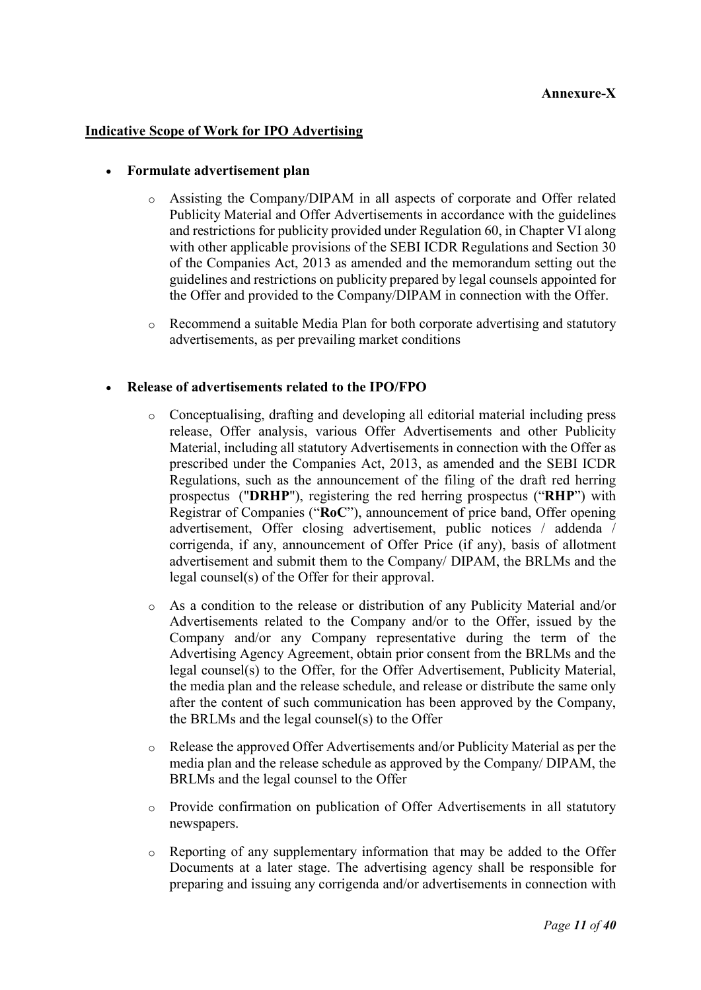### Annexure-X

#### Indicative Scope of Work for IPO Advertising

#### Formulate advertisement plan

- o Assisting the Company/DIPAM in all aspects of corporate and Offer related Publicity Material and Offer Advertisements in accordance with the guidelines and restrictions for publicity provided under Regulation 60, in Chapter VI along with other applicable provisions of the SEBI ICDR Regulations and Section 30 of the Companies Act, 2013 as amended and the memorandum setting out the guidelines and restrictions on publicity prepared by legal counsels appointed for the Offer and provided to the Company/DIPAM in connection with the Offer.
- o Recommend a suitable Media Plan for both corporate advertising and statutory advertisements, as per prevailing market conditions

#### Release of advertisements related to the IPO/FPO

- o Conceptualising, drafting and developing all editorial material including press release, Offer analysis, various Offer Advertisements and other Publicity Material, including all statutory Advertisements in connection with the Offer as prescribed under the Companies Act, 2013, as amended and the SEBI ICDR Regulations, such as the announcement of the filing of the draft red herring prospectus ("DRHP"), registering the red herring prospectus ("RHP") with Registrar of Companies ("RoC"), announcement of price band, Offer opening advertisement, Offer closing advertisement, public notices / addenda / corrigenda, if any, announcement of Offer Price (if any), basis of allotment advertisement and submit them to the Company/ DIPAM, the BRLMs and the legal counsel(s) of the Offer for their approval.
- o As a condition to the release or distribution of any Publicity Material and/or Advertisements related to the Company and/or to the Offer, issued by the Company and/or any Company representative during the term of the Advertising Agency Agreement, obtain prior consent from the BRLMs and the legal counsel(s) to the Offer, for the Offer Advertisement, Publicity Material, the media plan and the release schedule, and release or distribute the same only after the content of such communication has been approved by the Company, the BRLMs and the legal counsel(s) to the Offer
- o Release the approved Offer Advertisements and/or Publicity Material as per the media plan and the release schedule as approved by the Company/ DIPAM, the BRLMs and the legal counsel to the Offer
- o Provide confirmation on publication of Offer Advertisements in all statutory newspapers.
- $\circ$  Reporting of any supplementary information that may be added to the Offer Documents at a later stage. The advertising agency shall be responsible for preparing and issuing any corrigenda and/or advertisements in connection with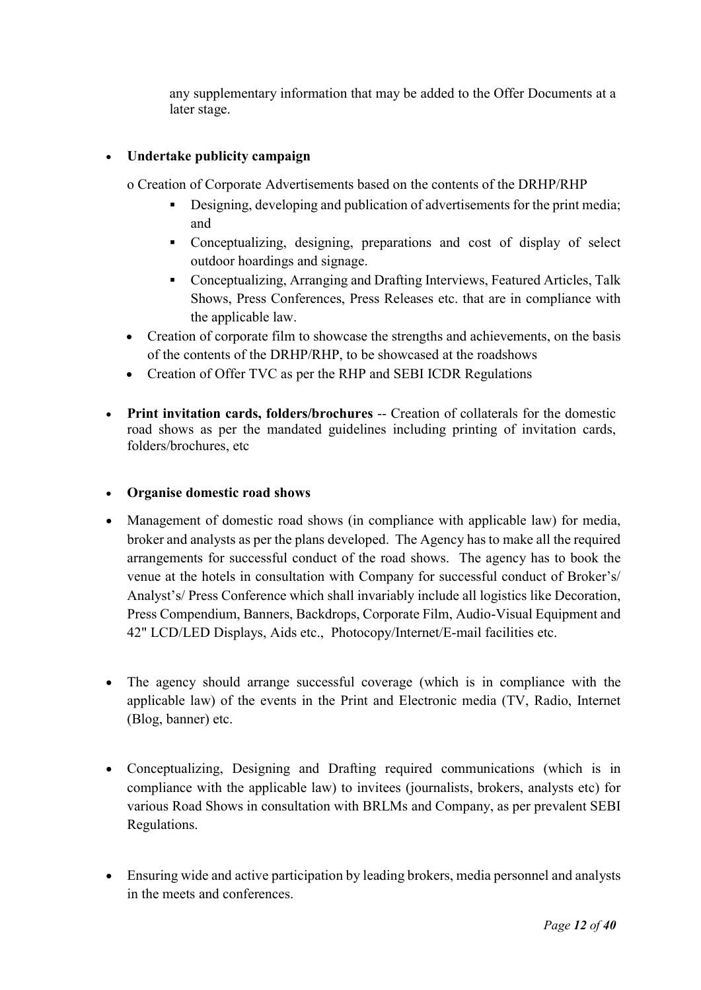any supplementary information that may be added to the Offer Documents at a later stage.

### Undertake publicity campaign

o Creation of Corporate Advertisements based on the contents of the DRHP/RHP

- Designing, developing and publication of advertisements for the print media; and
- Conceptualizing, designing, preparations and cost of display of select outdoor hoardings and signage.
- Conceptualizing, Arranging and Drafting Interviews, Featured Articles, Talk Shows, Press Conferences, Press Releases etc. that are in compliance with the applicable law.
- Creation of corporate film to showcase the strengths and achievements, on the basis of the contents of the DRHP/RHP, to be showcased at the roadshows
- Creation of Offer TVC as per the RHP and SEBI ICDR Regulations
- Print invitation cards, folders/brochures -- Creation of collaterals for the domestic road shows as per the mandated guidelines including printing of invitation cards, folders/brochures, etc

### Organise domestic road shows

- Management of domestic road shows (in compliance with applicable law) for media, broker and analysts as per the plans developed. The Agency has to make all the required arrangements for successful conduct of the road shows. The agency has to book the venue at the hotels in consultation with Company for successful conduct of Broker's/ Analyst's/ Press Conference which shall invariably include all logistics like Decoration, Press Compendium, Banners, Backdrops, Corporate Film, Audio-Visual Equipment and 42" LCD/LED Displays, Aids etc., Photocopy/Internet/E-mail facilities etc.
- The agency should arrange successful coverage (which is in compliance with the applicable law) of the events in the Print and Electronic media (TV, Radio, Internet (Blog, banner) etc.
- Conceptualizing, Designing and Drafting required communications (which is in compliance with the applicable law) to invitees (journalists, brokers, analysts etc) for various Road Shows in consultation with BRLMs and Company, as per prevalent SEBI Regulations.
- Ensuring wide and active participation by leading brokers, media personnel and analysts in the meets and conferences.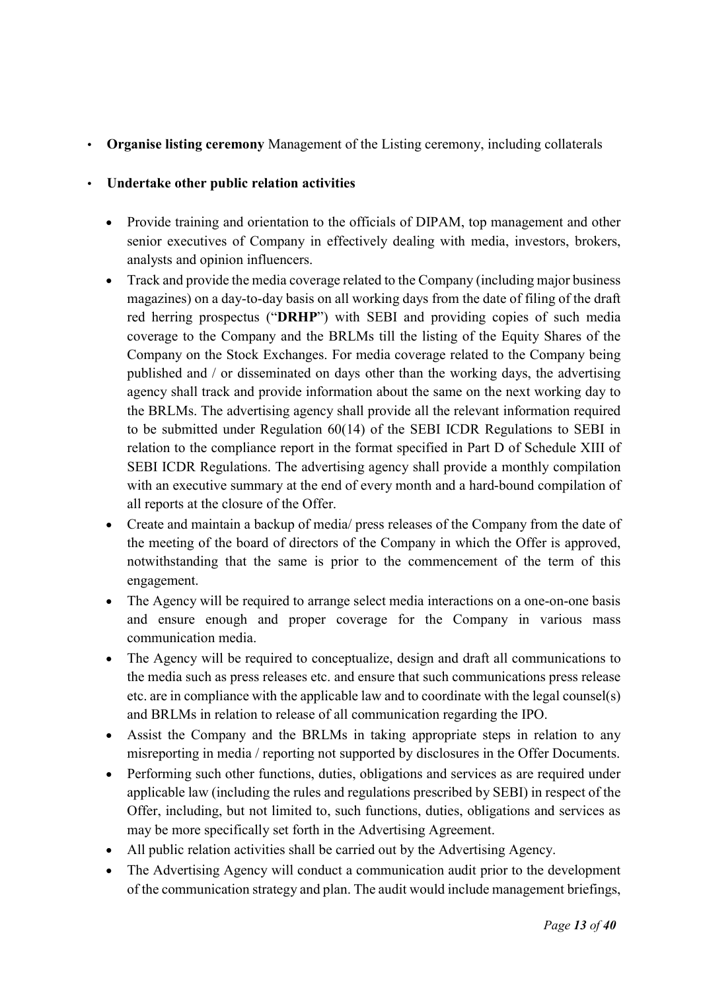### • Organise listing ceremony Management of the Listing ceremony, including collaterals

### • Undertake other public relation activities

- Provide training and orientation to the officials of DIPAM, top management and other senior executives of Company in effectively dealing with media, investors, brokers, analysts and opinion influencers.
- Track and provide the media coverage related to the Company (including major business magazines) on a day-to-day basis on all working days from the date of filing of the draft red herring prospectus ("DRHP") with SEBI and providing copies of such media coverage to the Company and the BRLMs till the listing of the Equity Shares of the Company on the Stock Exchanges. For media coverage related to the Company being published and / or disseminated on days other than the working days, the advertising agency shall track and provide information about the same on the next working day to the BRLMs. The advertising agency shall provide all the relevant information required to be submitted under Regulation 60(14) of the SEBI ICDR Regulations to SEBI in relation to the compliance report in the format specified in Part D of Schedule XIII of SEBI ICDR Regulations. The advertising agency shall provide a monthly compilation with an executive summary at the end of every month and a hard-bound compilation of all reports at the closure of the Offer.
- Create and maintain a backup of media/ press releases of the Company from the date of the meeting of the board of directors of the Company in which the Offer is approved, notwithstanding that the same is prior to the commencement of the term of this engagement.
- The Agency will be required to arrange select media interactions on a one-on-one basis and ensure enough and proper coverage for the Company in various mass communication media.
- The Agency will be required to conceptualize, design and draft all communications to the media such as press releases etc. and ensure that such communications press release etc. are in compliance with the applicable law and to coordinate with the legal counsel(s) and BRLMs in relation to release of all communication regarding the IPO.
- Assist the Company and the BRLMs in taking appropriate steps in relation to any misreporting in media / reporting not supported by disclosures in the Offer Documents.
- Performing such other functions, duties, obligations and services as are required under applicable law (including the rules and regulations prescribed by SEBI) in respect of the Offer, including, but not limited to, such functions, duties, obligations and services as may be more specifically set forth in the Advertising Agreement.
- All public relation activities shall be carried out by the Advertising Agency.
- The Advertising Agency will conduct a communication audit prior to the development of the communication strategy and plan. The audit would include management briefings,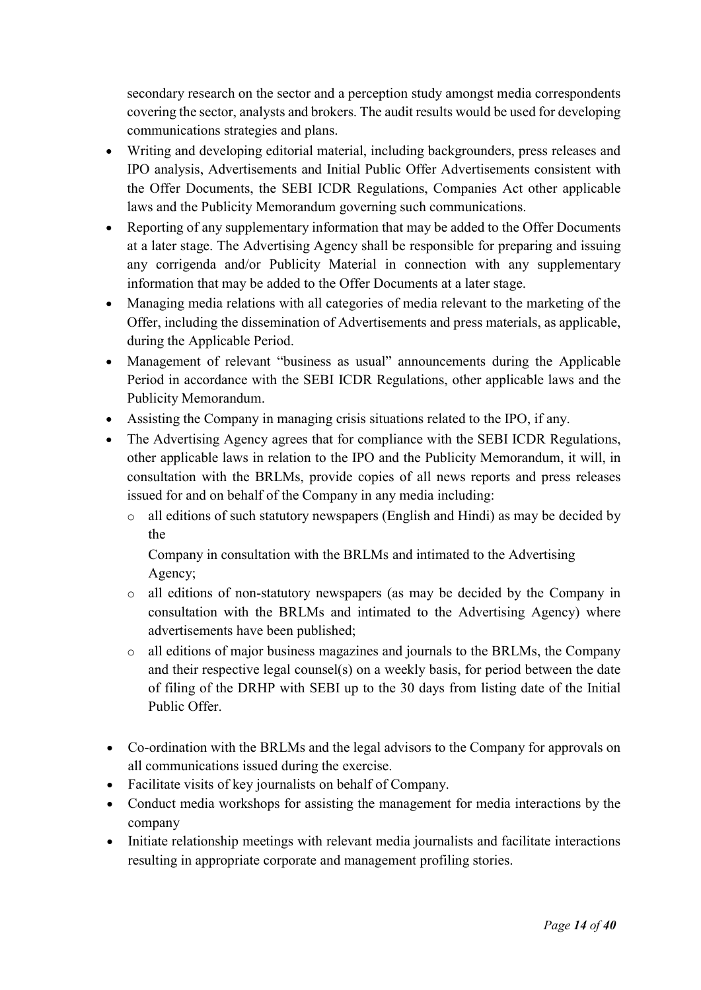secondary research on the sector and a perception study amongst media correspondents covering the sector, analysts and brokers. The audit results would be used for developing communications strategies and plans.

- Writing and developing editorial material, including backgrounders, press releases and IPO analysis, Advertisements and Initial Public Offer Advertisements consistent with the Offer Documents, the SEBI ICDR Regulations, Companies Act other applicable laws and the Publicity Memorandum governing such communications.
- Reporting of any supplementary information that may be added to the Offer Documents at a later stage. The Advertising Agency shall be responsible for preparing and issuing any corrigenda and/or Publicity Material in connection with any supplementary information that may be added to the Offer Documents at a later stage.
- Managing media relations with all categories of media relevant to the marketing of the Offer, including the dissemination of Advertisements and press materials, as applicable, during the Applicable Period.
- Management of relevant "business as usual" announcements during the Applicable Period in accordance with the SEBI ICDR Regulations, other applicable laws and the Publicity Memorandum.
- Assisting the Company in managing crisis situations related to the IPO, if any.
- The Advertising Agency agrees that for compliance with the SEBI ICDR Regulations, other applicable laws in relation to the IPO and the Publicity Memorandum, it will, in consultation with the BRLMs, provide copies of all news reports and press releases issued for and on behalf of the Company in any media including:
	- o all editions of such statutory newspapers (English and Hindi) as may be decided by the

Company in consultation with the BRLMs and intimated to the Advertising Agency;

- o all editions of non-statutory newspapers (as may be decided by the Company in consultation with the BRLMs and intimated to the Advertising Agency) where advertisements have been published;
- o all editions of major business magazines and journals to the BRLMs, the Company and their respective legal counsel(s) on a weekly basis, for period between the date of filing of the DRHP with SEBI up to the 30 days from listing date of the Initial Public Offer.
- Co-ordination with the BRLMs and the legal advisors to the Company for approvals on all communications issued during the exercise.
- Facilitate visits of key journalists on behalf of Company.
- Conduct media workshops for assisting the management for media interactions by the company
- Initiate relationship meetings with relevant media journalists and facilitate interactions resulting in appropriate corporate and management profiling stories.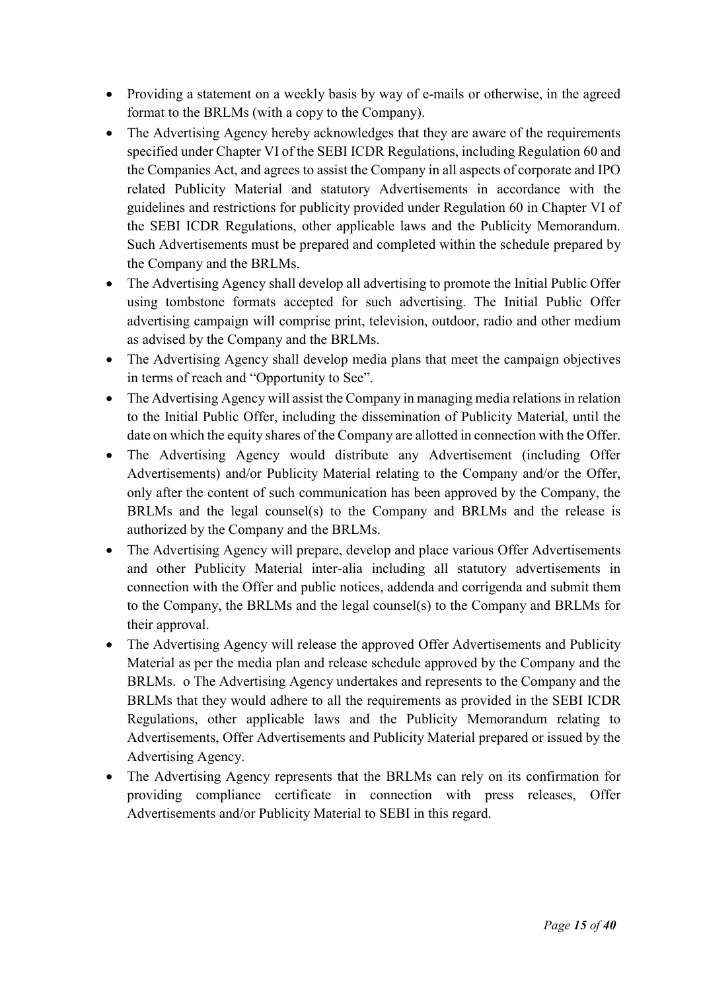- Providing a statement on a weekly basis by way of e-mails or otherwise, in the agreed format to the BRLMs (with a copy to the Company).
- The Advertising Agency hereby acknowledges that they are aware of the requirements specified under Chapter VI of the SEBI ICDR Regulations, including Regulation 60 and the Companies Act, and agrees to assist the Company in all aspects of corporate and IPO related Publicity Material and statutory Advertisements in accordance with the guidelines and restrictions for publicity provided under Regulation 60 in Chapter VI of the SEBI ICDR Regulations, other applicable laws and the Publicity Memorandum. Such Advertisements must be prepared and completed within the schedule prepared by the Company and the BRLMs.
- The Advertising Agency shall develop all advertising to promote the Initial Public Offer using tombstone formats accepted for such advertising. The Initial Public Offer advertising campaign will comprise print, television, outdoor, radio and other medium as advised by the Company and the BRLMs.
- The Advertising Agency shall develop media plans that meet the campaign objectives in terms of reach and "Opportunity to See".
- The Advertising Agency will assist the Company in managing media relations in relation to the Initial Public Offer, including the dissemination of Publicity Material, until the date on which the equity shares of the Company are allotted in connection with the Offer.
- The Advertising Agency would distribute any Advertisement (including Offer Advertisements) and/or Publicity Material relating to the Company and/or the Offer, only after the content of such communication has been approved by the Company, the BRLMs and the legal counsel(s) to the Company and BRLMs and the release is authorized by the Company and the BRLMs.
- The Advertising Agency will prepare, develop and place various Offer Advertisements and other Publicity Material inter-alia including all statutory advertisements in connection with the Offer and public notices, addenda and corrigenda and submit them to the Company, the BRLMs and the legal counsel(s) to the Company and BRLMs for their approval.
- The Advertising Agency will release the approved Offer Advertisements and Publicity Material as per the media plan and release schedule approved by the Company and the BRLMs. o The Advertising Agency undertakes and represents to the Company and the BRLMs that they would adhere to all the requirements as provided in the SEBI ICDR Regulations, other applicable laws and the Publicity Memorandum relating to Advertisements, Offer Advertisements and Publicity Material prepared or issued by the Advertising Agency.
- The Advertising Agency represents that the BRLMs can rely on its confirmation for providing compliance certificate in connection with press releases, Offer Advertisements and/or Publicity Material to SEBI in this regard.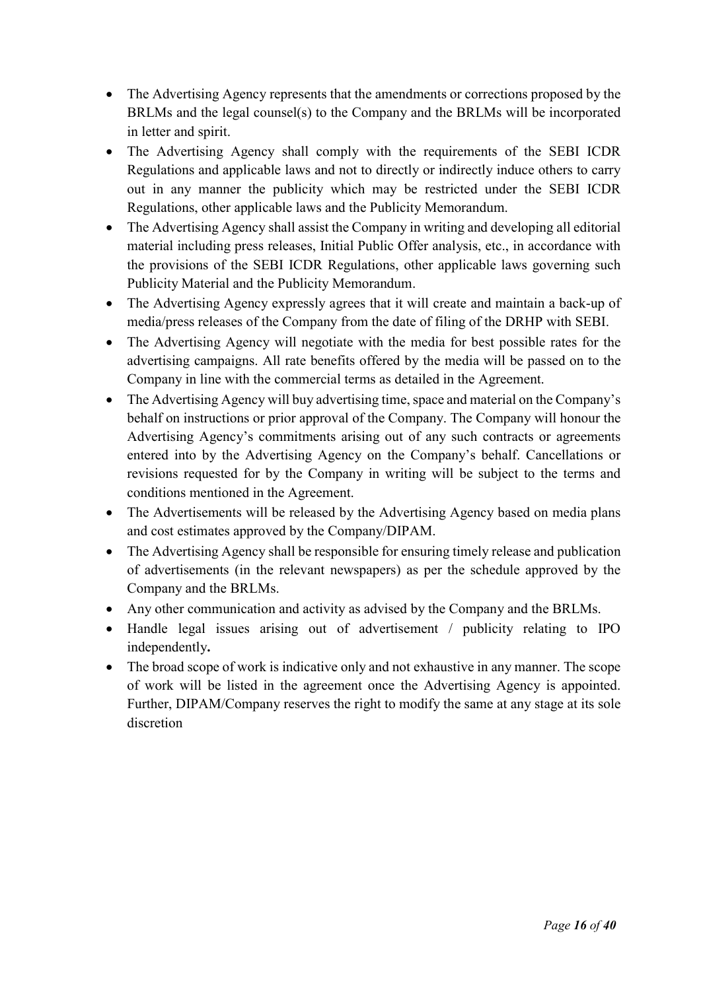- The Advertising Agency represents that the amendments or corrections proposed by the BRLMs and the legal counsel(s) to the Company and the BRLMs will be incorporated in letter and spirit.
- The Advertising Agency shall comply with the requirements of the SEBI ICDR Regulations and applicable laws and not to directly or indirectly induce others to carry out in any manner the publicity which may be restricted under the SEBI ICDR Regulations, other applicable laws and the Publicity Memorandum.
- The Advertising Agency shall assist the Company in writing and developing all editorial material including press releases, Initial Public Offer analysis, etc., in accordance with the provisions of the SEBI ICDR Regulations, other applicable laws governing such Publicity Material and the Publicity Memorandum.
- The Advertising Agency expressly agrees that it will create and maintain a back-up of media/press releases of the Company from the date of filing of the DRHP with SEBI.
- The Advertising Agency will negotiate with the media for best possible rates for the advertising campaigns. All rate benefits offered by the media will be passed on to the Company in line with the commercial terms as detailed in the Agreement.
- The Advertising Agency will buy advertising time, space and material on the Company's behalf on instructions or prior approval of the Company. The Company will honour the Advertising Agency's commitments arising out of any such contracts or agreements entered into by the Advertising Agency on the Company's behalf. Cancellations or revisions requested for by the Company in writing will be subject to the terms and conditions mentioned in the Agreement.
- The Advertisements will be released by the Advertising Agency based on media plans and cost estimates approved by the Company/DIPAM.
- The Advertising Agency shall be responsible for ensuring timely release and publication of advertisements (in the relevant newspapers) as per the schedule approved by the Company and the BRLMs.
- Any other communication and activity as advised by the Company and the BRLMs.
- Handle legal issues arising out of advertisement / publicity relating to IPO independently.
- The broad scope of work is indicative only and not exhaustive in any manner. The scope of work will be listed in the agreement once the Advertising Agency is appointed. Further, DIPAM/Company reserves the right to modify the same at any stage at its sole discretion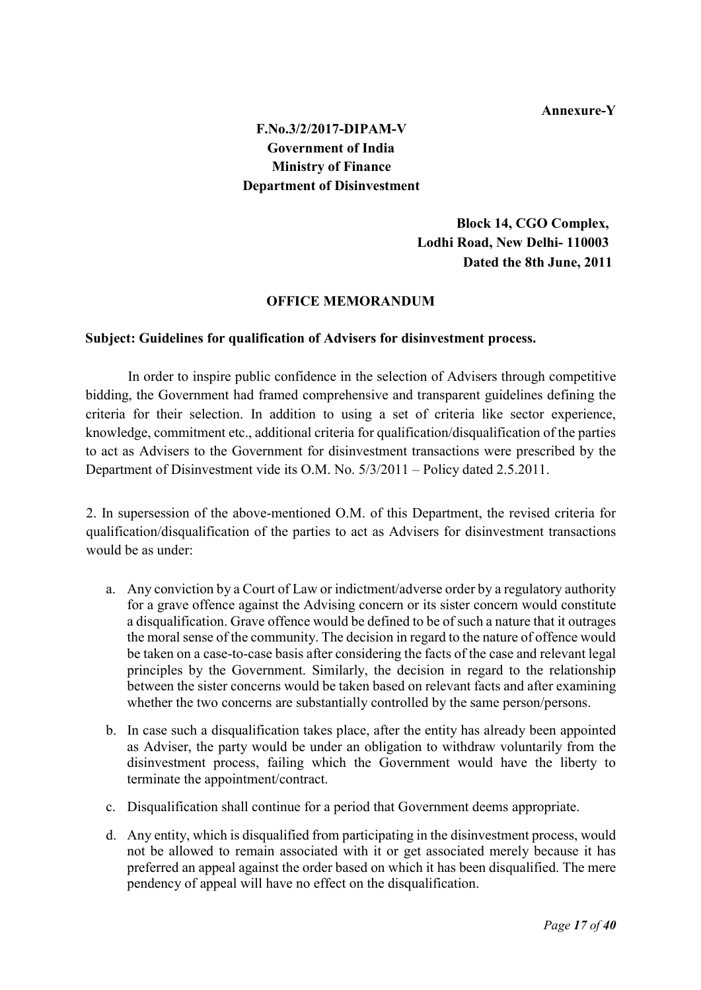#### Annexure-Y

## F.No.3/2/2017-DIPAM-V Government of India Ministry of Finance Department of Disinvestment

 Block 14, CGO Complex, Lodhi Road, New Delhi- 110003 Dated the 8th June, 2011

#### OFFICE MEMORANDUM

#### Subject: Guidelines for qualification of Advisers for disinvestment process.

In order to inspire public confidence in the selection of Advisers through competitive bidding, the Government had framed comprehensive and transparent guidelines defining the criteria for their selection. In addition to using a set of criteria like sector experience, knowledge, commitment etc., additional criteria for qualification/disqualification of the parties to act as Advisers to the Government for disinvestment transactions were prescribed by the Department of Disinvestment vide its O.M. No. 5/3/2011 – Policy dated 2.5.2011.

2. In supersession of the above-mentioned O.M. of this Department, the revised criteria for qualification/disqualification of the parties to act as Advisers for disinvestment transactions would be as under:

- a. Any conviction by a Court of Law or indictment/adverse order by a regulatory authority for a grave offence against the Advising concern or its sister concern would constitute a disqualification. Grave offence would be defined to be of such a nature that it outrages the moral sense of the community. The decision in regard to the nature of offence would be taken on a case-to-case basis after considering the facts of the case and relevant legal principles by the Government. Similarly, the decision in regard to the relationship between the sister concerns would be taken based on relevant facts and after examining whether the two concerns are substantially controlled by the same person/persons.
- b. In case such a disqualification takes place, after the entity has already been appointed as Adviser, the party would be under an obligation to withdraw voluntarily from the disinvestment process, failing which the Government would have the liberty to terminate the appointment/contract.
- c. Disqualification shall continue for a period that Government deems appropriate.
- d. Any entity, which is disqualified from participating in the disinvestment process, would not be allowed to remain associated with it or get associated merely because it has preferred an appeal against the order based on which it has been disqualified. The mere pendency of appeal will have no effect on the disqualification.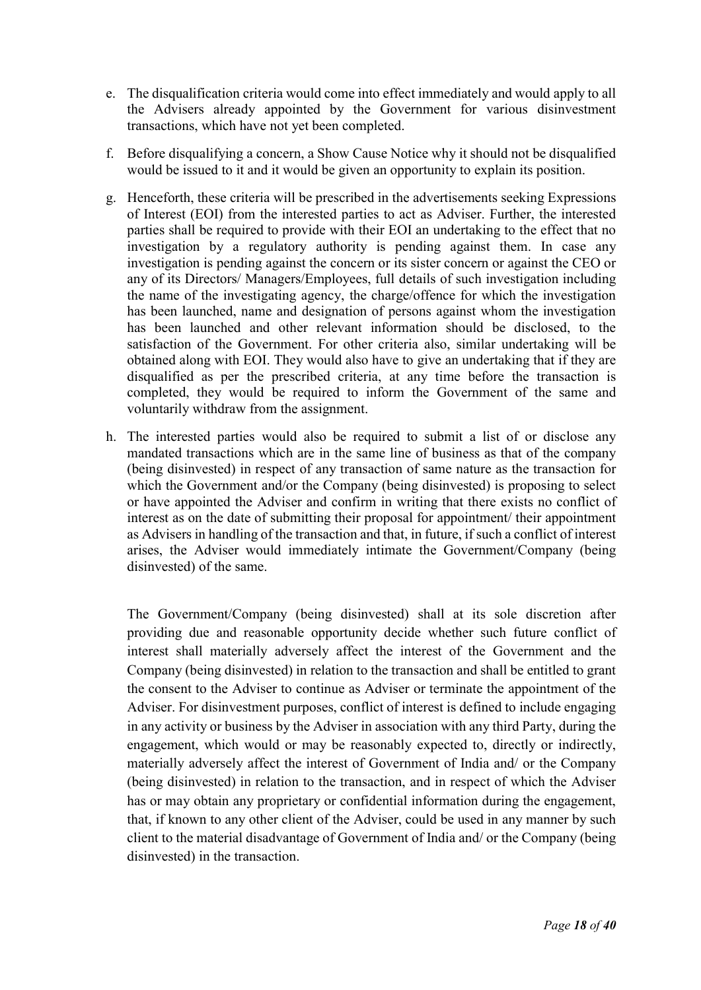- e. The disqualification criteria would come into effect immediately and would apply to all the Advisers already appointed by the Government for various disinvestment transactions, which have not yet been completed.
- f. Before disqualifying a concern, a Show Cause Notice why it should not be disqualified would be issued to it and it would be given an opportunity to explain its position.
- g. Henceforth, these criteria will be prescribed in the advertisements seeking Expressions of Interest (EOI) from the interested parties to act as Adviser. Further, the interested parties shall be required to provide with their EOI an undertaking to the effect that no investigation by a regulatory authority is pending against them. In case any investigation is pending against the concern or its sister concern or against the CEO or any of its Directors/ Managers/Employees, full details of such investigation including the name of the investigating agency, the charge/offence for which the investigation has been launched, name and designation of persons against whom the investigation has been launched and other relevant information should be disclosed, to the satisfaction of the Government. For other criteria also, similar undertaking will be obtained along with EOI. They would also have to give an undertaking that if they are disqualified as per the prescribed criteria, at any time before the transaction is completed, they would be required to inform the Government of the same and voluntarily withdraw from the assignment.
- h. The interested parties would also be required to submit a list of or disclose any mandated transactions which are in the same line of business as that of the company (being disinvested) in respect of any transaction of same nature as the transaction for which the Government and/or the Company (being disinvested) is proposing to select or have appointed the Adviser and confirm in writing that there exists no conflict of interest as on the date of submitting their proposal for appointment/ their appointment as Advisers in handling of the transaction and that, in future, if such a conflict of interest arises, the Adviser would immediately intimate the Government/Company (being disinvested) of the same.

The Government/Company (being disinvested) shall at its sole discretion after providing due and reasonable opportunity decide whether such future conflict of interest shall materially adversely affect the interest of the Government and the Company (being disinvested) in relation to the transaction and shall be entitled to grant the consent to the Adviser to continue as Adviser or terminate the appointment of the Adviser. For disinvestment purposes, conflict of interest is defined to include engaging in any activity or business by the Adviser in association with any third Party, during the engagement, which would or may be reasonably expected to, directly or indirectly, materially adversely affect the interest of Government of India and/ or the Company (being disinvested) in relation to the transaction, and in respect of which the Adviser has or may obtain any proprietary or confidential information during the engagement, that, if known to any other client of the Adviser, could be used in any manner by such client to the material disadvantage of Government of India and/ or the Company (being disinvested) in the transaction.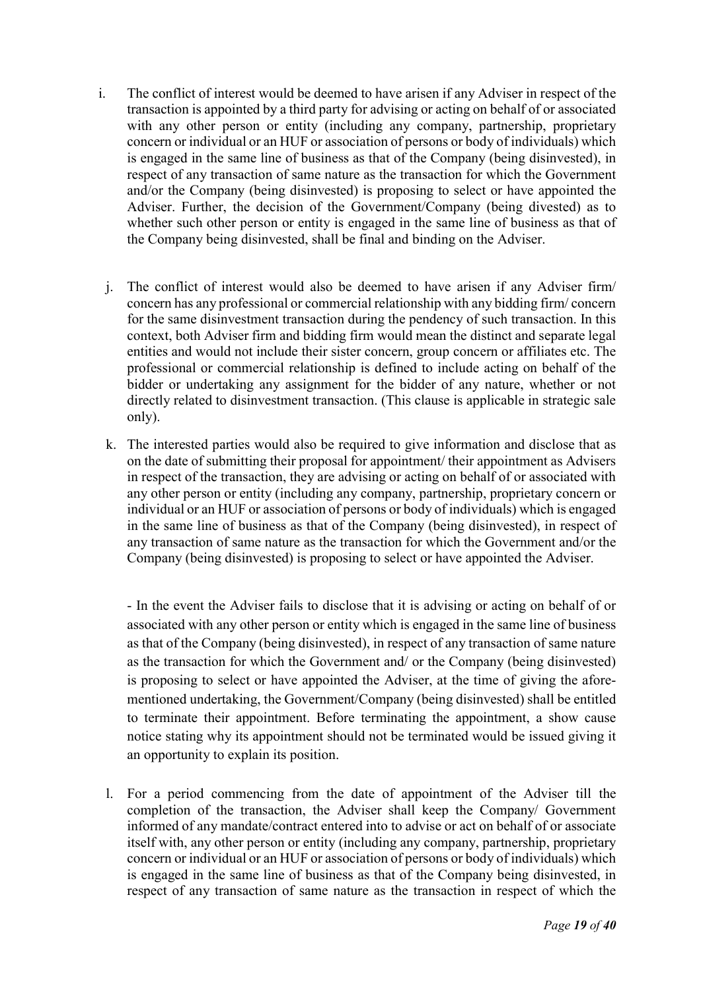- i. The conflict of interest would be deemed to have arisen if any Adviser in respect of the transaction is appointed by a third party for advising or acting on behalf of or associated with any other person or entity (including any company, partnership, proprietary concern or individual or an HUF or association of persons or body of individuals) which is engaged in the same line of business as that of the Company (being disinvested), in respect of any transaction of same nature as the transaction for which the Government and/or the Company (being disinvested) is proposing to select or have appointed the Adviser. Further, the decision of the Government/Company (being divested) as to whether such other person or entity is engaged in the same line of business as that of the Company being disinvested, shall be final and binding on the Adviser.
- j. The conflict of interest would also be deemed to have arisen if any Adviser firm/ concern has any professional or commercial relationship with any bidding firm/ concern for the same disinvestment transaction during the pendency of such transaction. In this context, both Adviser firm and bidding firm would mean the distinct and separate legal entities and would not include their sister concern, group concern or affiliates etc. The professional or commercial relationship is defined to include acting on behalf of the bidder or undertaking any assignment for the bidder of any nature, whether or not directly related to disinvestment transaction. (This clause is applicable in strategic sale only).
- k. The interested parties would also be required to give information and disclose that as on the date of submitting their proposal for appointment/ their appointment as Advisers in respect of the transaction, they are advising or acting on behalf of or associated with any other person or entity (including any company, partnership, proprietary concern or individual or an HUF or association of persons or body of individuals) which is engaged in the same line of business as that of the Company (being disinvested), in respect of any transaction of same nature as the transaction for which the Government and/or the Company (being disinvested) is proposing to select or have appointed the Adviser.

- In the event the Adviser fails to disclose that it is advising or acting on behalf of or associated with any other person or entity which is engaged in the same line of business as that of the Company (being disinvested), in respect of any transaction of same nature as the transaction for which the Government and/ or the Company (being disinvested) is proposing to select or have appointed the Adviser, at the time of giving the aforementioned undertaking, the Government/Company (being disinvested) shall be entitled to terminate their appointment. Before terminating the appointment, a show cause notice stating why its appointment should not be terminated would be issued giving it an opportunity to explain its position.

l. For a period commencing from the date of appointment of the Adviser till the completion of the transaction, the Adviser shall keep the Company/ Government informed of any mandate/contract entered into to advise or act on behalf of or associate itself with, any other person or entity (including any company, partnership, proprietary concern or individual or an HUF or association of persons or body of individuals) which is engaged in the same line of business as that of the Company being disinvested, in respect of any transaction of same nature as the transaction in respect of which the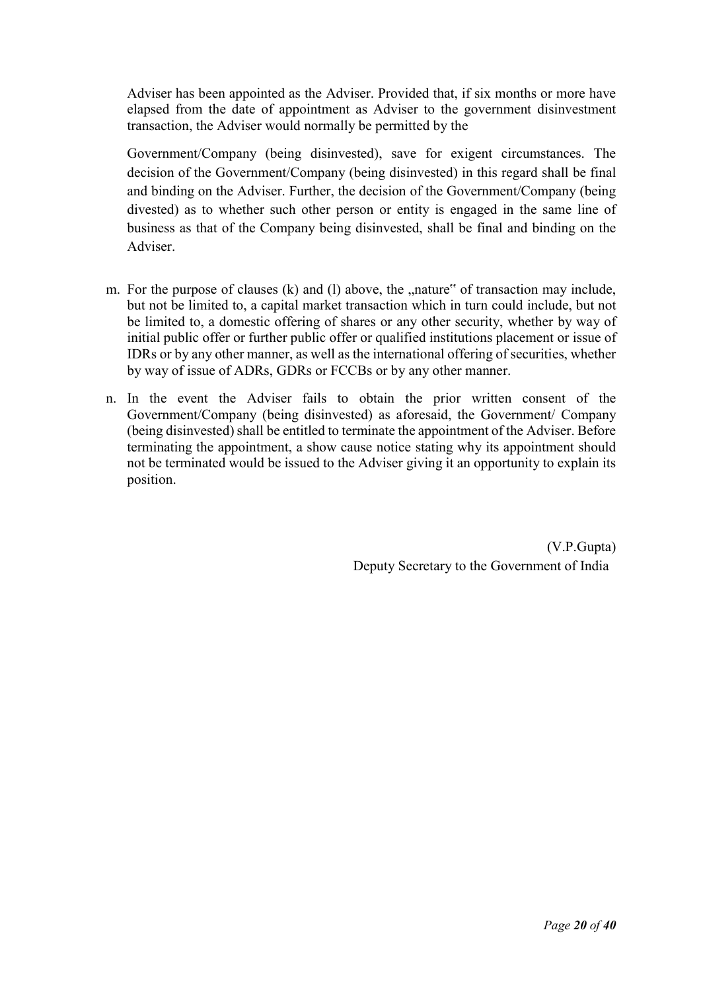Adviser has been appointed as the Adviser. Provided that, if six months or more have elapsed from the date of appointment as Adviser to the government disinvestment transaction, the Adviser would normally be permitted by the

Government/Company (being disinvested), save for exigent circumstances. The decision of the Government/Company (being disinvested) in this regard shall be final and binding on the Adviser. Further, the decision of the Government/Company (being divested) as to whether such other person or entity is engaged in the same line of business as that of the Company being disinvested, shall be final and binding on the Adviser.

- m. For the purpose of clauses  $(k)$  and  $(l)$  above, the  $n$ , nature" of transaction may include, but not be limited to, a capital market transaction which in turn could include, but not be limited to, a domestic offering of shares or any other security, whether by way of initial public offer or further public offer or qualified institutions placement or issue of IDRs or by any other manner, as well as the international offering of securities, whether by way of issue of ADRs, GDRs or FCCBs or by any other manner.
- n. In the event the Adviser fails to obtain the prior written consent of the Government/Company (being disinvested) as aforesaid, the Government/ Company (being disinvested) shall be entitled to terminate the appointment of the Adviser. Before terminating the appointment, a show cause notice stating why its appointment should not be terminated would be issued to the Adviser giving it an opportunity to explain its position.

 (V.P.Gupta) Deputy Secretary to the Government of India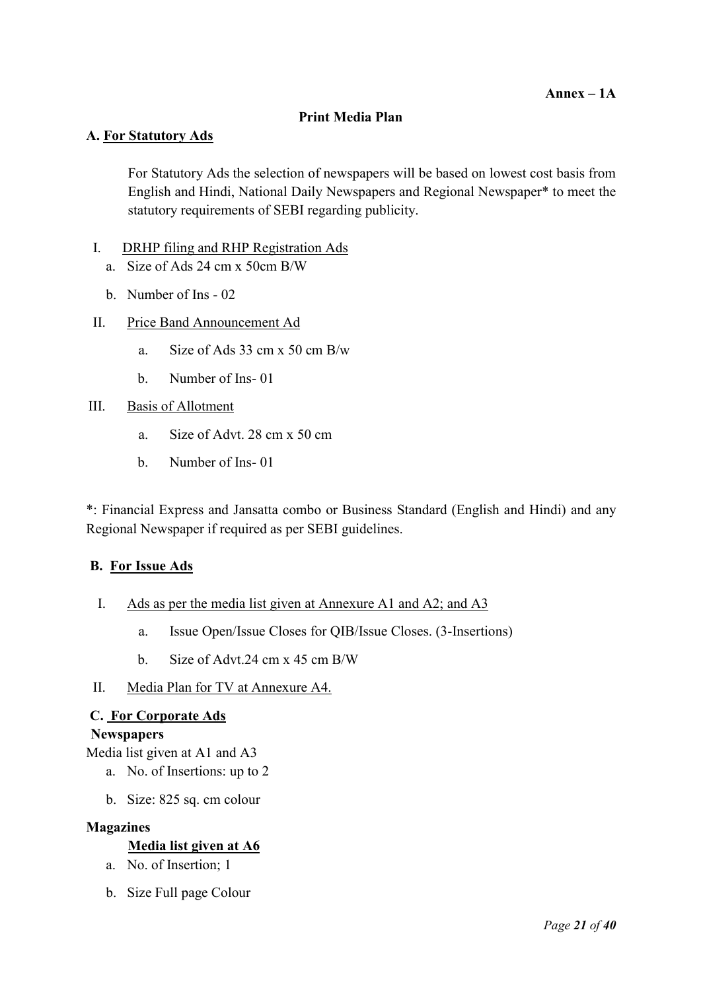#### Print Media Plan

#### A. For Statutory Ads

For Statutory Ads the selection of newspapers will be based on lowest cost basis from English and Hindi, National Daily Newspapers and Regional Newspaper\* to meet the statutory requirements of SEBI regarding publicity.

#### I. DRHP filing and RHP Registration Ads

- a. Size of Ads 24 cm x 50cm B/W
- b. Number of Ins 02
- II. Price Band Announcement Ad
	- a. Size of Ads 33 cm x 50 cm B/w
	- b. Number of Ins- 01

#### III. Basis of Allotment

- a. Size of Advt. 28 cm x 50 cm
- b. Number of Ins- 01

\*: Financial Express and Jansatta combo or Business Standard (English and Hindi) and any Regional Newspaper if required as per SEBI guidelines.

#### B. For Issue Ads

- I. Ads as per the media list given at Annexure A1 and A2; and A3
	- a. Issue Open/Issue Closes for QIB/Issue Closes. (3-Insertions)
	- b. Size of Advt.24 cm x 45 cm B/W
- II. Media Plan for TV at Annexure A4.

#### C. For Corporate Ads

#### **Newspapers**

Media list given at A1 and A3

- a. No. of Insertions: up to 2
- b. Size: 825 sq. cm colour

#### Magazines

#### Media list given at A6

- a. No. of Insertion; 1
- b. Size Full page Colour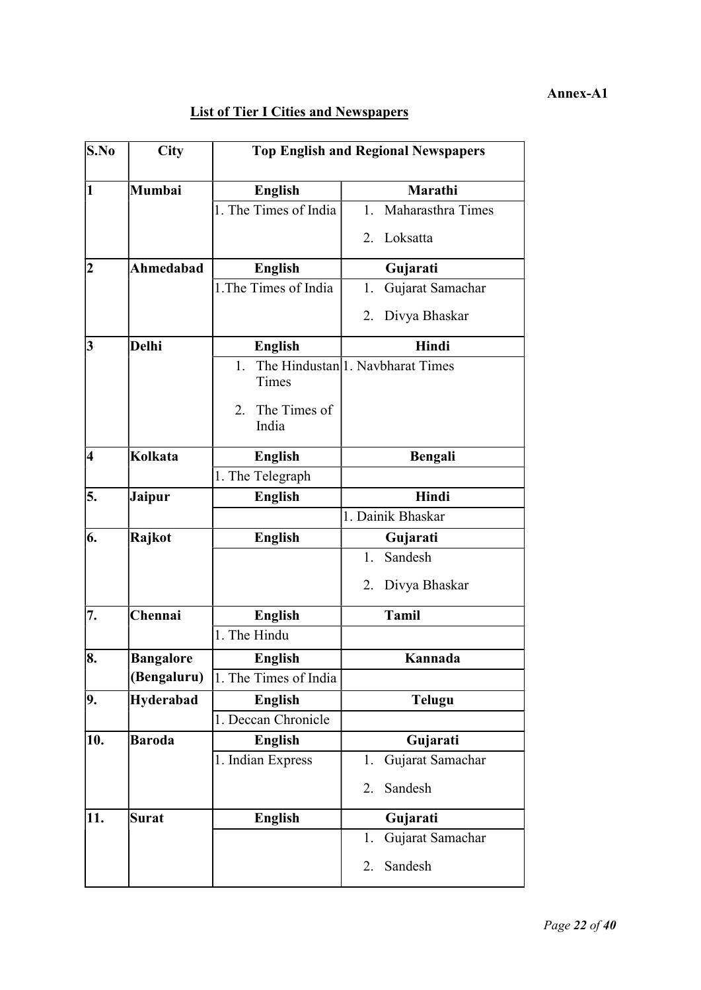#### Annex-A1

## **List of Tier I Cities and Newspapers**

| $\mathbf{S}.\mathbf{No}$ | <b>City</b>      | <b>Top English and Regional Newspapers</b> |                                               |  |  |
|--------------------------|------------------|--------------------------------------------|-----------------------------------------------|--|--|
| 11                       | Mumbai           | <b>English</b>                             | Marathi                                       |  |  |
|                          |                  | $\overline{1}$ . The Times of India        | Maharasthra Times<br>1.                       |  |  |
|                          |                  |                                            | Loksatta<br>2.                                |  |  |
| $\overline{\mathbf{2}}$  | Ahmedabad        | <b>English</b>                             | Gujarati                                      |  |  |
|                          |                  | 1. The Times of India                      | Gujarat Samachar<br>1.                        |  |  |
|                          |                  |                                            | Divya Bhaskar<br>2.                           |  |  |
| 3                        | <b>Delhi</b>     | <b>English</b>                             | Hindi                                         |  |  |
|                          |                  | 1.<br>Times<br>The Times of<br>2.          | The Hindustan <sup> </sup> 1. Navbharat Times |  |  |
|                          |                  | India                                      |                                               |  |  |
| 4                        | Kolkata          | <b>English</b>                             | Bengali                                       |  |  |
|                          |                  | 1. The Telegraph                           |                                               |  |  |
| 5.                       | Jaipur           | <b>English</b>                             | Hindi                                         |  |  |
|                          |                  |                                            | 1. Dainik Bhaskar                             |  |  |
| 6.                       | Rajkot           | <b>English</b>                             | Gujarati                                      |  |  |
|                          |                  |                                            | Sandesh<br>1.                                 |  |  |
|                          |                  |                                            | Divya Bhaskar<br>2.                           |  |  |
| 7.                       | Chennai          | <b>English</b>                             | <b>Tamil</b>                                  |  |  |
|                          |                  | 1. The Hindu                               |                                               |  |  |
| 8.                       | <b>Bangalore</b> | <b>English</b>                             | Kannada                                       |  |  |
|                          | (Bengaluru)      | 1. The Times of India                      |                                               |  |  |
| 9.                       | <b>Hyderabad</b> | <b>English</b>                             | <b>Telugu</b>                                 |  |  |
|                          |                  | 1. Deccan Chronicle                        |                                               |  |  |
| 10.                      | <b>Baroda</b>    | English                                    | Gujarati                                      |  |  |
|                          |                  | 1. Indian Express                          | 1.<br>Gujarat Samachar                        |  |  |
|                          |                  |                                            | Sandesh<br>2.                                 |  |  |
| 11.                      | <b>Surat</b>     | <b>English</b>                             | Gujarati                                      |  |  |
|                          |                  |                                            | Gujarat Samachar<br>1.                        |  |  |
|                          |                  |                                            | Sandesh<br>2.                                 |  |  |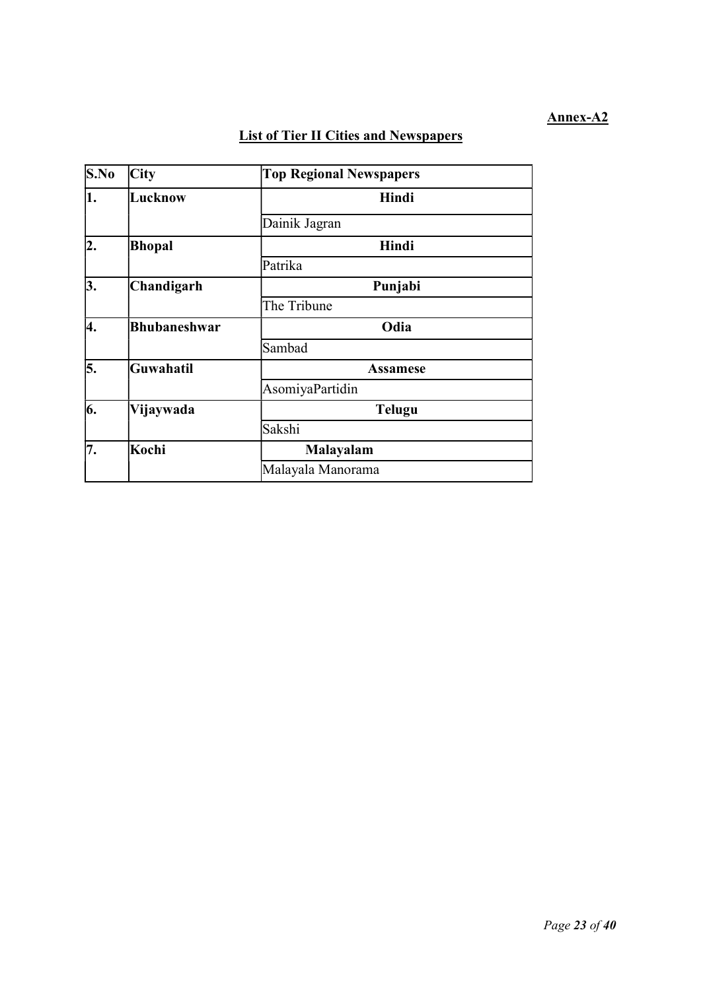#### Annex-A2

## List of Tier II Cities and Newspapers

| S.No | City                | <b>Top Regional Newspapers</b> |
|------|---------------------|--------------------------------|
| 1.   | Lucknow             | Hindi                          |
|      |                     | Dainik Jagran                  |
| 2.   | Bhopal              | Hindi                          |
|      |                     | Patrika                        |
| 3.   | Chandigarh          | Punjabi                        |
|      |                     | The Tribune                    |
| 4.   | <b>Bhubaneshwar</b> | Odia                           |
|      |                     | Sambad                         |
| 5.   | Guwahatil           | <b>Assamese</b>                |
|      |                     | AsomiyaPartidin                |
| 6.   | Vijaywada           | <b>Telugu</b>                  |
|      |                     | Sakshi                         |
| 7.   | Kochi               | <b>Malayalam</b>               |
|      |                     | Malayala Manorama              |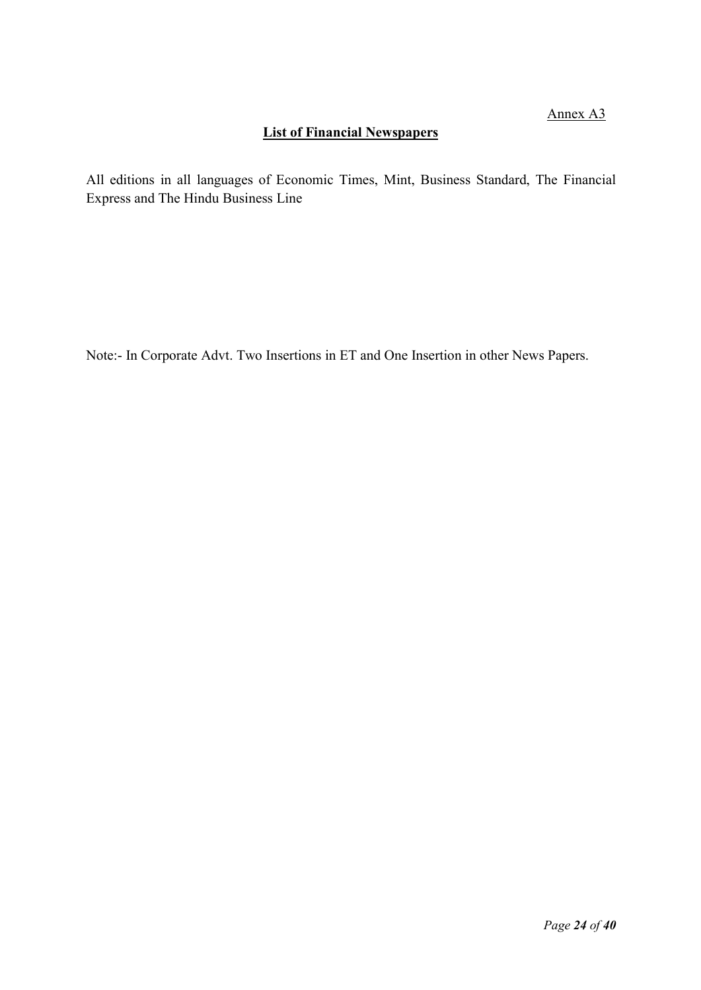## List of Financial Newspapers

All editions in all languages of Economic Times, Mint, Business Standard, The Financial Express and The Hindu Business Line

Note:- In Corporate Advt. Two Insertions in ET and One Insertion in other News Papers.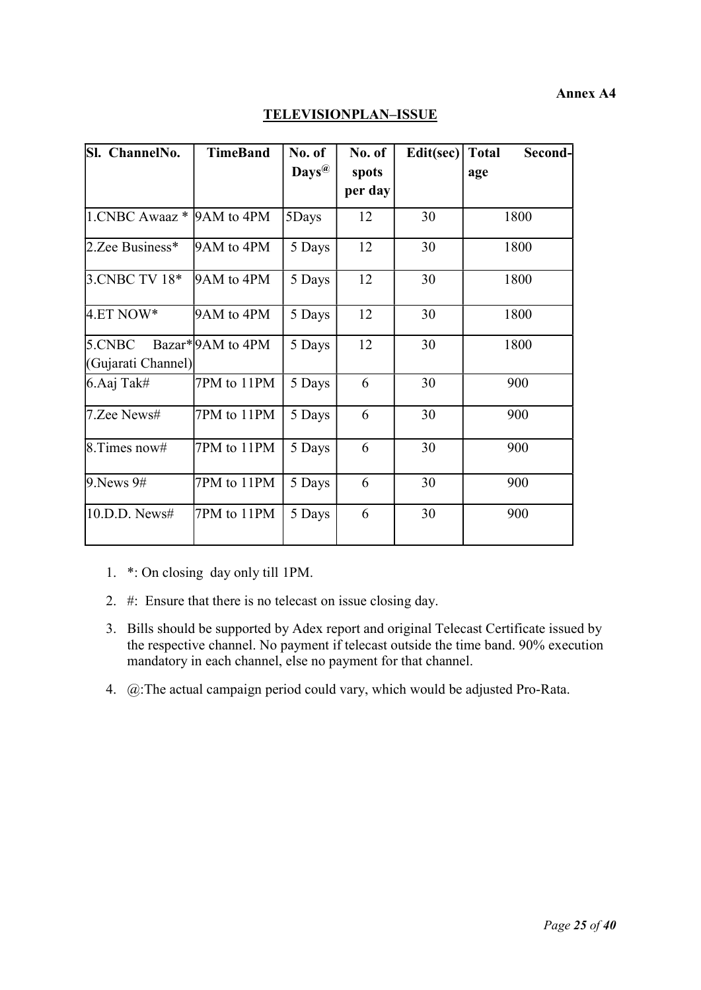#### Annex A4

| Sl. ChannelNo.            | <b>TimeBand</b>   | No. of            | No. of  | Edit(sec) | <b>Total</b><br>Second- |
|---------------------------|-------------------|-------------------|---------|-----------|-------------------------|
|                           |                   | $\mathbf{Days}^@$ | spots   |           | age                     |
|                           |                   |                   | per day |           |                         |
| 1.CNBC Awaaz * 9AM to 4PM |                   | 5Days             | 12      | 30        | 1800                    |
| 2.Zee Business*           | 9AM to 4PM        | 5 Days            | 12      | 30        | 1800                    |
| 3.CNBC TV 18*             | 9AM to 4PM        | 5 Days            | 12      | 30        | 1800                    |
| $4.ET NOW*$               | 9AM to 4PM        | 5 Days            | 12      | 30        | 1800                    |
| 5.CNBC                    | Bazar* 9AM to 4PM | 5 Days            | 12      | 30        | 1800                    |
| (Gujarati Channel)        |                   |                   |         |           |                         |
| 6.Aaj Tak#                | 7PM to 11PM       | 5 Days            | 6       | 30        | 900                     |
| 7.Zee News#               | 7PM to 11PM       | 5 Days            | 6       | 30        | 900                     |
| $8.$ Times now#           | 7PM to 11PM       | 5 Days            | 6       | 30        | 900                     |
| $9.$ News $9#$            | 7PM to 11PM       | 5 Days            | 6       | 30        | 900                     |
| 10.D.D. News#             | 7PM to 11PM       | 5 Days            | 6       | 30        | 900                     |

## TELEVISIONPLAN–ISSUE

1. \*: On closing day only till 1PM.

- 2. #: Ensure that there is no telecast on issue closing day.
- 3. Bills should be supported by Adex report and original Telecast Certificate issued by the respective channel. No payment if telecast outside the time band. 90% execution mandatory in each channel, else no payment for that channel.
- 4. @:The actual campaign period could vary, which would be adjusted Pro-Rata.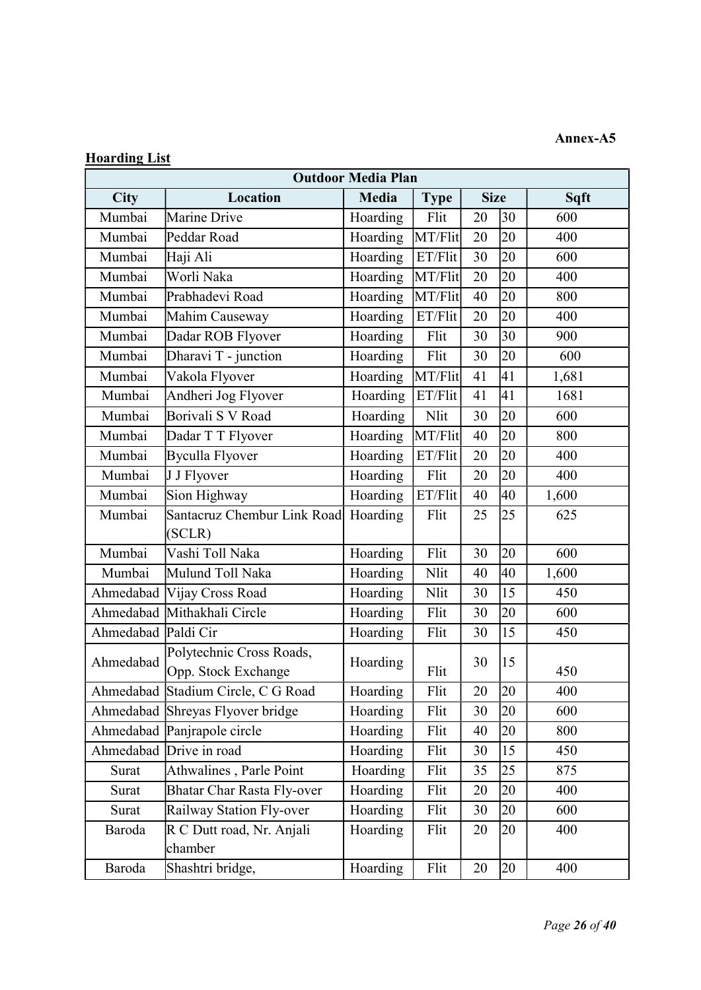### Annex-A5

## Hoarding List

| <b>Outdoor Media Plan</b> |                                                         |          |         |    |    |       |  |
|---------------------------|---------------------------------------------------------|----------|---------|----|----|-------|--|
| <b>City</b>               | Location<br>Media<br><b>Size</b><br>Sqft<br><b>Type</b> |          |         |    |    |       |  |
| Mumbai                    | Marine Drive                                            | Hoarding | Flit    | 20 | 30 | 600   |  |
| Mumbai                    | Peddar Road                                             | Hoarding | MT/Flit | 20 | 20 | 400   |  |
| Mumbai                    | Haji Ali                                                | Hoarding | ET/Flit | 30 | 20 | 600   |  |
| Mumbai                    | Worli Naka                                              | Hoarding | MT/Flit | 20 | 20 | 400   |  |
| Mumbai                    | Prabhadevi Road                                         | Hoarding | MT/Flit | 40 | 20 | 800   |  |
| Mumbai                    | Mahim Causeway                                          | Hoarding | ET/Flit | 20 | 20 | 400   |  |
| Mumbai                    | Dadar ROB Flyover                                       | Hoarding | Flit    | 30 | 30 | 900   |  |
| Mumbai                    | Dharavi T - junction                                    | Hoarding | Flit    | 30 | 20 | 600   |  |
| Mumbai                    | Vakola Flyover                                          | Hoarding | MT/Flit | 41 | 41 | 1,681 |  |
| Mumbai                    | Andheri Jog Flyover                                     | Hoarding | ET/Flit | 41 | 41 | 1681  |  |
| Mumbai                    | Borivali S V Road                                       | Hoarding | Nlit    | 30 | 20 | 600   |  |
| Mumbai                    | Dadar T T Flyover                                       | Hoarding | MT/Flit | 40 | 20 | 800   |  |
| Mumbai                    | <b>Byculla Flyover</b>                                  | Hoarding | ET/Flit | 20 | 20 | 400   |  |
| Mumbai                    | J J Flyover                                             | Hoarding | Flit    | 20 | 20 | 400   |  |
| Mumbai                    | Sion Highway                                            | Hoarding | ET/Flit | 40 | 40 | 1,600 |  |
| Mumbai                    | Santacruz Chembur Link Road                             | Hoarding | Flit    | 25 | 25 | 625   |  |
|                           | (SCLR)                                                  |          |         |    |    |       |  |
| Mumbai                    | Vashi Toll Naka                                         | Hoarding | Flit    | 30 | 20 | 600   |  |
| Mumbai                    | Mulund Toll Naka                                        | Hoarding | Nlit    | 40 | 40 | 1,600 |  |
|                           | Ahmedabad Vijay Cross Road                              | Hoarding | Nlit    | 30 | 15 | 450   |  |
|                           | Ahmedabad Mithakhali Circle                             | Hoarding | Flit    | 30 | 20 | 600   |  |
| Ahmedabad Paldi Cir       |                                                         | Hoarding | Flit    | 30 | 15 | 450   |  |
|                           | Polytechnic Cross Roads,                                |          |         |    |    |       |  |
| Ahmedabad                 | Opp. Stock Exchange                                     | Hoarding | Flit    | 30 | 15 | 450   |  |
|                           | Ahmedabad Stadium Circle, C G Road                      | Hoarding | Flit    | 20 | 20 | 400   |  |
|                           | Ahmedabad Shreyas Flyover bridge                        | Hoarding | Flit    | 30 | 20 | 600   |  |
|                           | Ahmedabad Panjrapole circle                             | Hoarding | Flit    | 40 | 20 | 800   |  |
|                           | Ahmedabad Drive in road                                 | Hoarding | Flit    | 30 | 15 | 450   |  |
| Surat                     | Athwalines, Parle Point                                 | Hoarding | Flit    | 35 | 25 | 875   |  |
| Surat                     | <b>Bhatar Char Rasta Fly-over</b>                       | Hoarding | Flit    | 20 | 20 | 400   |  |
| Surat                     | Railway Station Fly-over                                | Hoarding | Flit    | 30 | 20 | 600   |  |
| Baroda                    | R C Dutt road, Nr. Anjali                               | Hoarding | Flit    | 20 | 20 | 400   |  |
|                           | chamber                                                 |          |         |    |    |       |  |
| Baroda                    | Shashtri bridge,                                        | Hoarding | Flit    | 20 | 20 | 400   |  |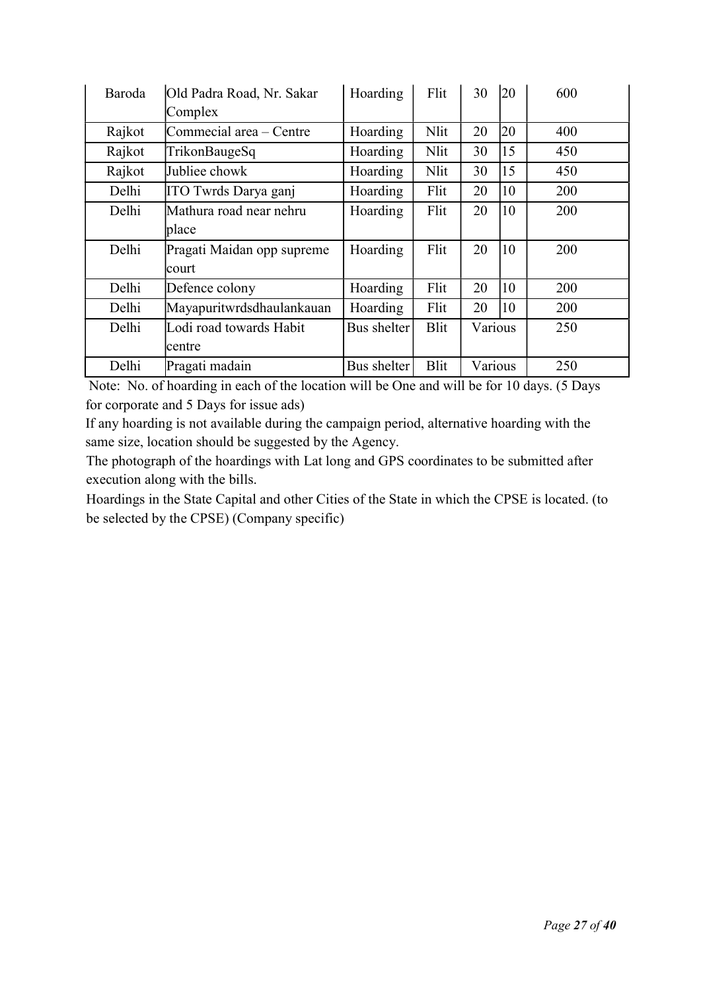| Baroda | Old Padra Road, Nr. Sakar  | Hoarding    | Flit        | 30      | <b>20</b> | 600 |
|--------|----------------------------|-------------|-------------|---------|-----------|-----|
|        | Complex                    |             |             |         |           |     |
| Rajkot | Commecial area - Centre    | Hoarding    | Nlit        | 20      | 20        | 400 |
| Rajkot | TrikonBaugeSq              | Hoarding    | Nlit        | 30      | 15        | 450 |
| Rajkot | Jubliee chowk              | Hoarding    | Nlit        | 30      | 15        | 450 |
| Delhi  | ITO Twrds Darya ganj       | Hoarding    | Flit        | 20      | 10        | 200 |
| Delhi  | Mathura road near nehru    | Hoarding    | Flit        | 20      | 10        | 200 |
|        | place                      |             |             |         |           |     |
| Delhi  | Pragati Maidan opp supreme | Hoarding    | Flit        | 20      | 10        | 200 |
|        | court                      |             |             |         |           |     |
| Delhi  | Defence colony             | Hoarding    | Flit        | 20      | 10        | 200 |
| Delhi  | Mayapuritwrdsdhaulankauan  | Hoarding    | Flit        | 20      | 10        | 200 |
| Delhi  | Lodi road towards Habit    | Bus shelter | <b>Blit</b> | Various |           | 250 |
|        | centre                     |             |             |         |           |     |
| Delhi  | Pragati madain             | Bus shelter | <b>Blit</b> | Various |           | 250 |

 Note: No. of hoarding in each of the location will be One and will be for 10 days. (5 Days for corporate and 5 Days for issue ads)

If any hoarding is not available during the campaign period, alternative hoarding with the same size, location should be suggested by the Agency.

The photograph of the hoardings with Lat long and GPS coordinates to be submitted after execution along with the bills.

Hoardings in the State Capital and other Cities of the State in which the CPSE is located. (to be selected by the CPSE) (Company specific)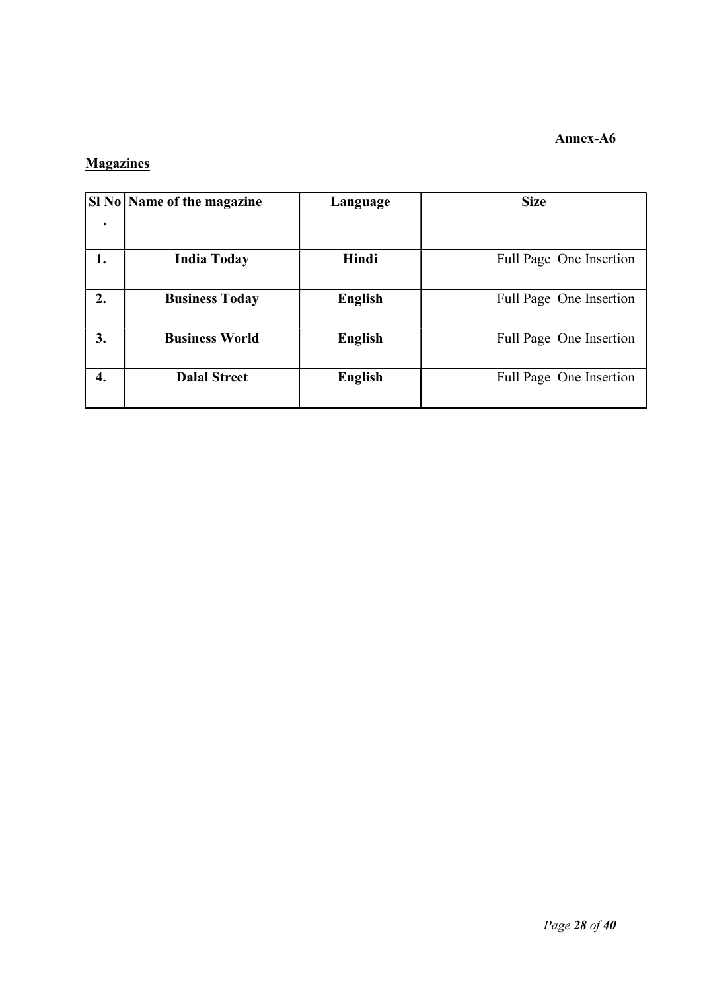### Annex-A6

## **Magazines**

|    | SI No   Name of the magazine | Language       | <b>Size</b>             |
|----|------------------------------|----------------|-------------------------|
|    |                              |                |                         |
| 1. | <b>India Today</b>           | Hindi          | Full Page One Insertion |
| 2. | <b>Business Today</b>        | <b>English</b> | Full Page One Insertion |
| 3. | <b>Business World</b>        | <b>English</b> | Full Page One Insertion |
| 4. | <b>Dalal Street</b>          | <b>English</b> | Full Page One Insertion |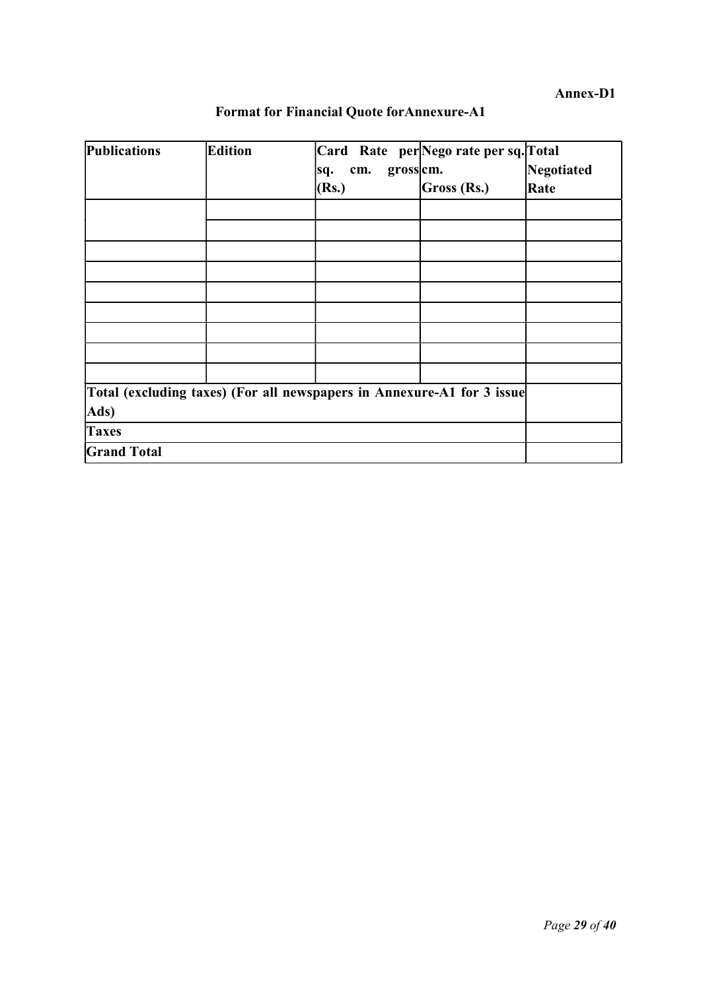| <b>Publications</b>                                                    | Edition | Card Rate per Nego rate per sq. Total<br>gross cm.<br>cm.<br>sq.<br>(Rs.) | Gross (Rs.) | Negotiated<br>Rate |
|------------------------------------------------------------------------|---------|---------------------------------------------------------------------------|-------------|--------------------|
|                                                                        |         |                                                                           |             |                    |
|                                                                        |         |                                                                           |             |                    |
|                                                                        |         |                                                                           |             |                    |
|                                                                        |         |                                                                           |             |                    |
|                                                                        |         |                                                                           |             |                    |
|                                                                        |         |                                                                           |             |                    |
|                                                                        |         |                                                                           |             |                    |
|                                                                        |         |                                                                           |             |                    |
|                                                                        |         |                                                                           |             |                    |
|                                                                        |         |                                                                           |             |                    |
| Total (excluding taxes) (For all newspapers in Annexure-A1 for 3 issue |         |                                                                           |             |                    |
| Ads)                                                                   |         |                                                                           |             |                    |
| <b>Taxes</b>                                                           |         |                                                                           |             |                    |
| <b>Grand Total</b>                                                     |         |                                                                           |             |                    |

## Format for Financial Quote forAnnexure-A1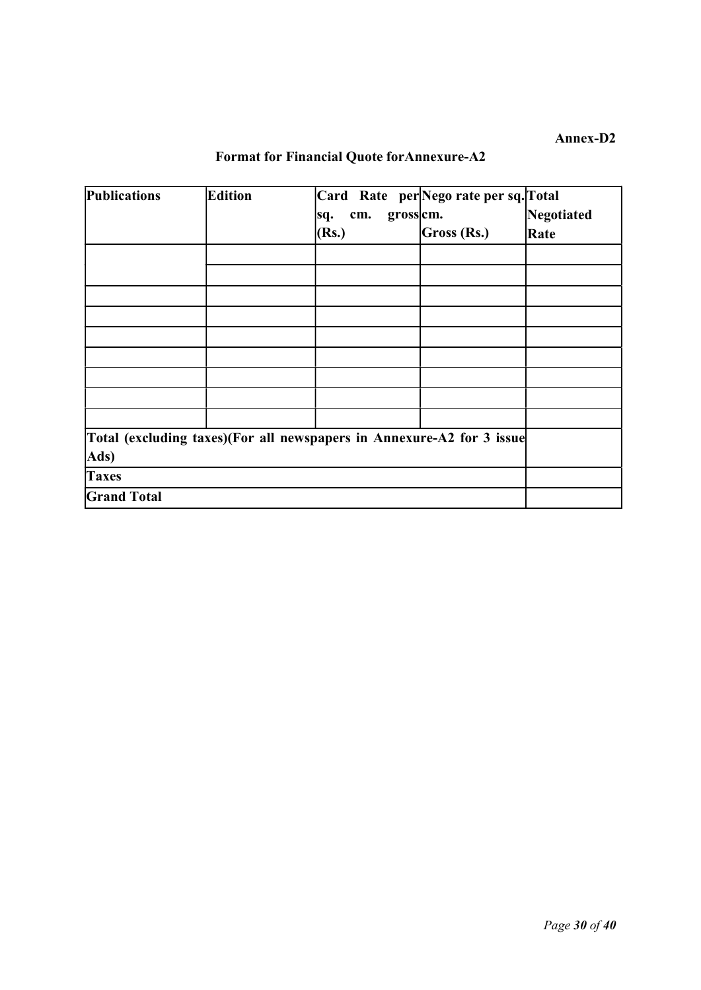# Format for Financial Quote forAnnexure-A2

| Publications                                                          | Edition | Card Rate per Nego rate per sq. Total |             |            |
|-----------------------------------------------------------------------|---------|---------------------------------------|-------------|------------|
|                                                                       |         | gross cm.<br>cm.<br>sq.               |             | Negotiated |
|                                                                       |         | (Rs.)                                 | Gross (Rs.) | Rate       |
|                                                                       |         |                                       |             |            |
|                                                                       |         |                                       |             |            |
|                                                                       |         |                                       |             |            |
|                                                                       |         |                                       |             |            |
|                                                                       |         |                                       |             |            |
|                                                                       |         |                                       |             |            |
|                                                                       |         |                                       |             |            |
|                                                                       |         |                                       |             |            |
|                                                                       |         |                                       |             |            |
| Total (excluding taxes)(For all newspapers in Annexure-A2 for 3 issue |         |                                       |             |            |
| Ads)                                                                  |         |                                       |             |            |
| <b>Taxes</b>                                                          |         |                                       |             |            |
| <b>Grand Total</b>                                                    |         |                                       |             |            |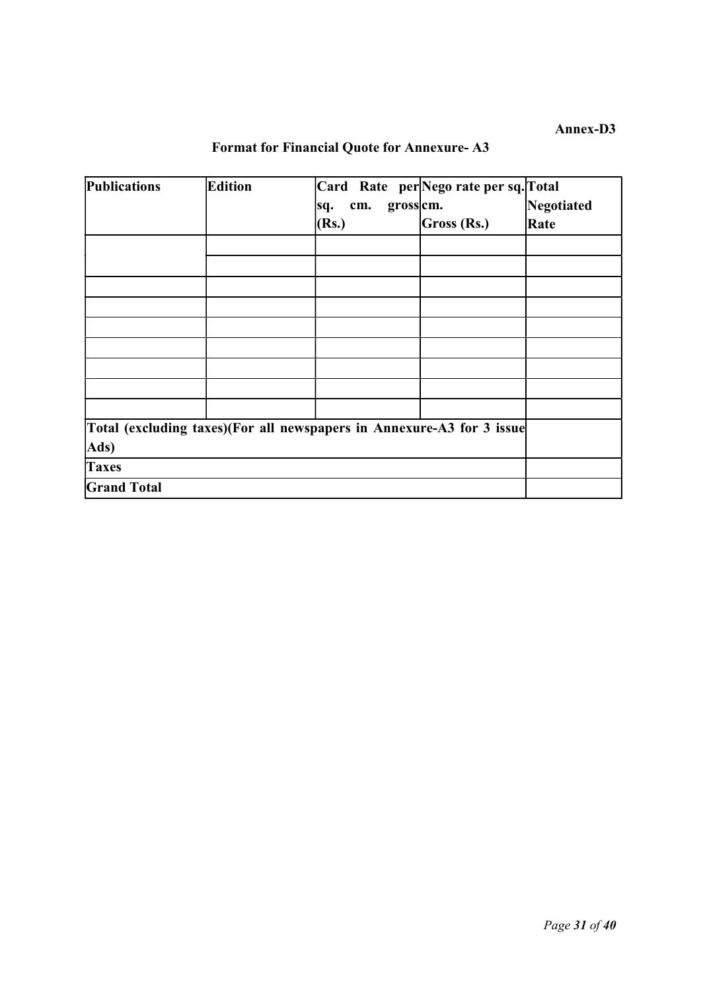| <b>Publications</b>                                                   | <b>Edition</b> |                        | Card Rate per Nego rate per sq. Total |            |
|-----------------------------------------------------------------------|----------------|------------------------|---------------------------------------|------------|
|                                                                       |                | grosscm.<br>cm.<br>sq. |                                       | Negotiated |
|                                                                       |                | (Rs.)                  | Gross (Rs.)                           | Rate       |
|                                                                       |                |                        |                                       |            |
|                                                                       |                |                        |                                       |            |
|                                                                       |                |                        |                                       |            |
|                                                                       |                |                        |                                       |            |
|                                                                       |                |                        |                                       |            |
|                                                                       |                |                        |                                       |            |
|                                                                       |                |                        |                                       |            |
|                                                                       |                |                        |                                       |            |
|                                                                       |                |                        |                                       |            |
| Total (excluding taxes)(For all newspapers in Annexure-A3 for 3 issue |                |                        |                                       |            |
| Ads)                                                                  |                |                        |                                       |            |
| <b>Taxes</b>                                                          |                |                        |                                       |            |
| <b>Grand Total</b>                                                    |                |                        |                                       |            |

## Format for Financial Quote for Annexure- A3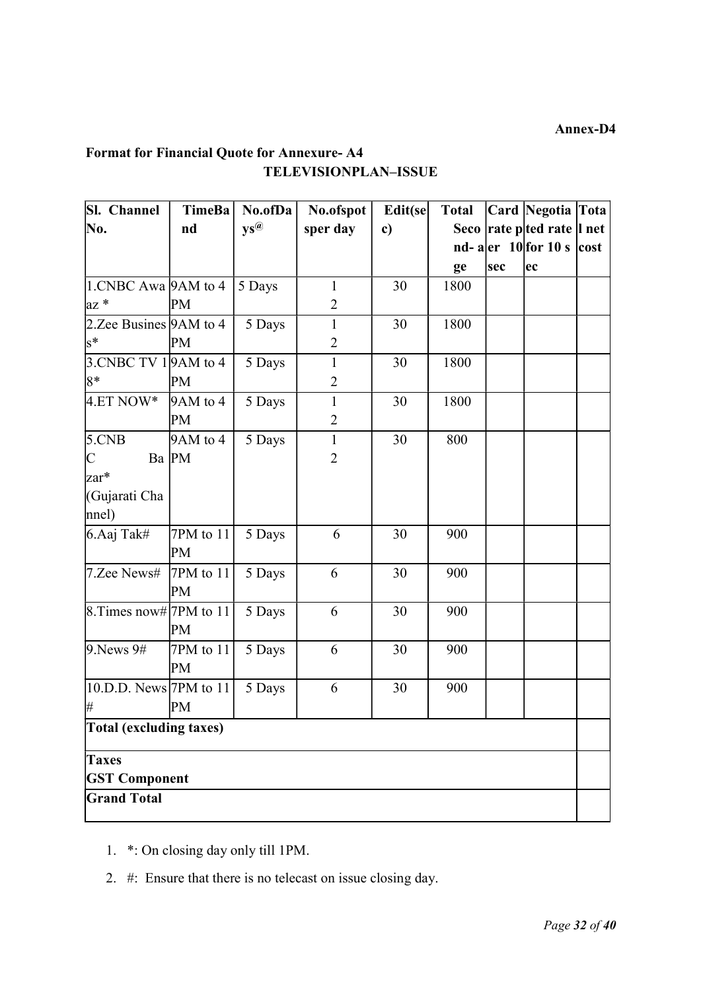## Format for Financial Quote for Annexure- A4 TELEVISIONPLAN–ISSUE

| Sl. Channel                | <b>TimeBa</b> | No.ofDa                            | No.ofspot      | Edit(se | <b>Total</b> |     | Card Negotia Tota                                                         |  |
|----------------------------|---------------|------------------------------------|----------------|---------|--------------|-----|---------------------------------------------------------------------------|--|
| No.                        | nd            | $\mathbf{y}\mathbf{s}^{\circledR}$ | sper day       | c)      |              |     | Seco rate pted rate l net                                                 |  |
|                            |               |                                    |                |         |              |     | nd- a $\left  \text{er} \right  10$ for 10 s $\left  \text{cost} \right $ |  |
|                            |               |                                    |                |         | ge           | sec | ec                                                                        |  |
| $1.CNBC Awa$ 9AM to 4      |               | 5 Days                             | $\mathbf{1}$   | 30      | 1800         |     |                                                                           |  |
| $az *$                     | PM            |                                    | $\overline{2}$ |         |              |     |                                                                           |  |
| 2. Zee Busines $9AM$ to 4  |               | 5 Days                             | 1              | 30      | 1800         |     |                                                                           |  |
| $s^*$                      | PM            |                                    | $\overline{2}$ |         |              |     |                                                                           |  |
| 3. CNBC TV 1 9 AM to 4     |               | 5 Days                             | $\mathbf{1}$   | 30      | 1800         |     |                                                                           |  |
| $8*$                       | PM            |                                    | $\overline{2}$ |         |              |     |                                                                           |  |
| $4.ET NOW*$                | 9AM to 4      | 5 Days                             | $\mathbf{1}$   | 30      | 1800         |     |                                                                           |  |
|                            | PM            |                                    | $\overline{2}$ |         |              |     |                                                                           |  |
| 5.CNB                      | 9AM to 4      | 5 Days                             | $\mathbf{1}$   | 30      | 800          |     |                                                                           |  |
| $\mathsf{C}$               | Ba PM         |                                    | $\overline{2}$ |         |              |     |                                                                           |  |
| zar*                       |               |                                    |                |         |              |     |                                                                           |  |
| (Gujarati Cha              |               |                                    |                |         |              |     |                                                                           |  |
| $ $ nnel $)$               |               |                                    |                |         |              |     |                                                                           |  |
| 6.Aaj Tak#                 | 7PM to 11     | 5 Days                             | 6              | 30      | 900          |     |                                                                           |  |
|                            | PM            |                                    |                |         |              |     |                                                                           |  |
| 7.Zee News#                | 7PM to $11$   | 5 Days                             | 6              | 30      | 900          |     |                                                                           |  |
|                            | PM            |                                    |                |         |              |     |                                                                           |  |
| 8. Times now# 7PM to 11    |               | 5 Days                             | 6              | 30      | 900          |     |                                                                           |  |
|                            | PM            |                                    |                |         |              |     |                                                                           |  |
| 9. News 9#                 | $7PM$ to $11$ | 5 Days                             | 6              | 30      | 900          |     |                                                                           |  |
|                            | PM            |                                    |                |         |              |     |                                                                           |  |
| $[10.D.D. News]$ 7PM to 11 |               | 5 Days                             | 6              | 30      | 900          |     |                                                                           |  |
| #                          | PM            |                                    |                |         |              |     |                                                                           |  |
| Total (excluding taxes)    |               |                                    |                |         |              |     |                                                                           |  |
| <b>Taxes</b>               |               |                                    |                |         |              |     |                                                                           |  |
| <b>GST Component</b>       |               |                                    |                |         |              |     |                                                                           |  |
| <b>Grand Total</b>         |               |                                    |                |         |              |     |                                                                           |  |

- 1. \*: On closing day only till 1PM.
- 2. #: Ensure that there is no telecast on issue closing day.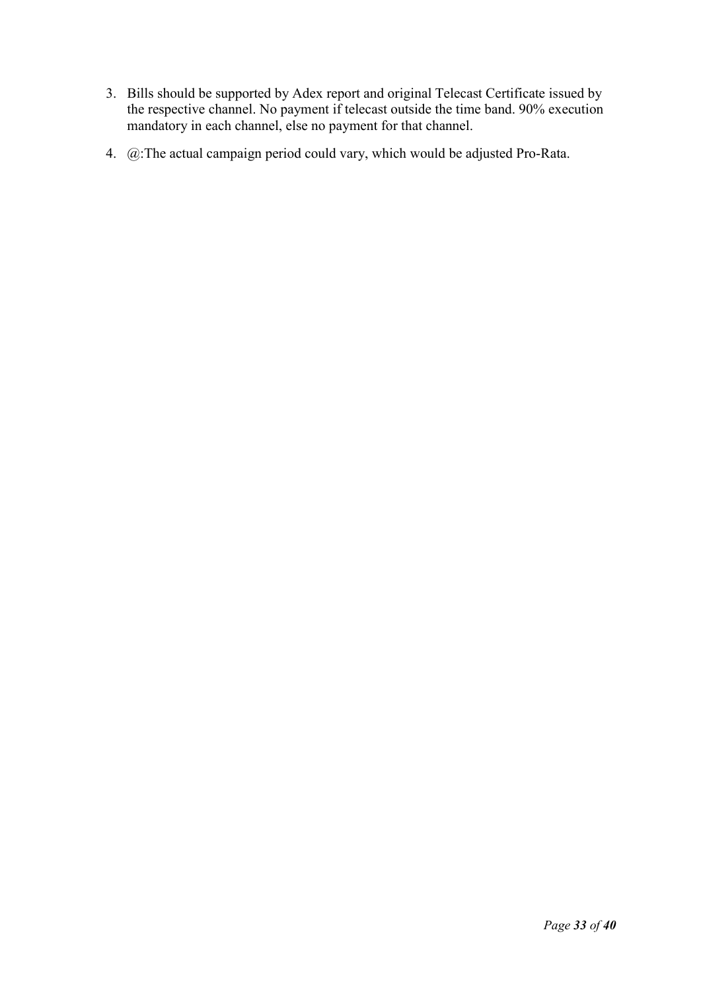- 3. Bills should be supported by Adex report and original Telecast Certificate issued by the respective channel. No payment if telecast outside the time band. 90% execution mandatory in each channel, else no payment for that channel.
- 4. @:The actual campaign period could vary, which would be adjusted Pro-Rata.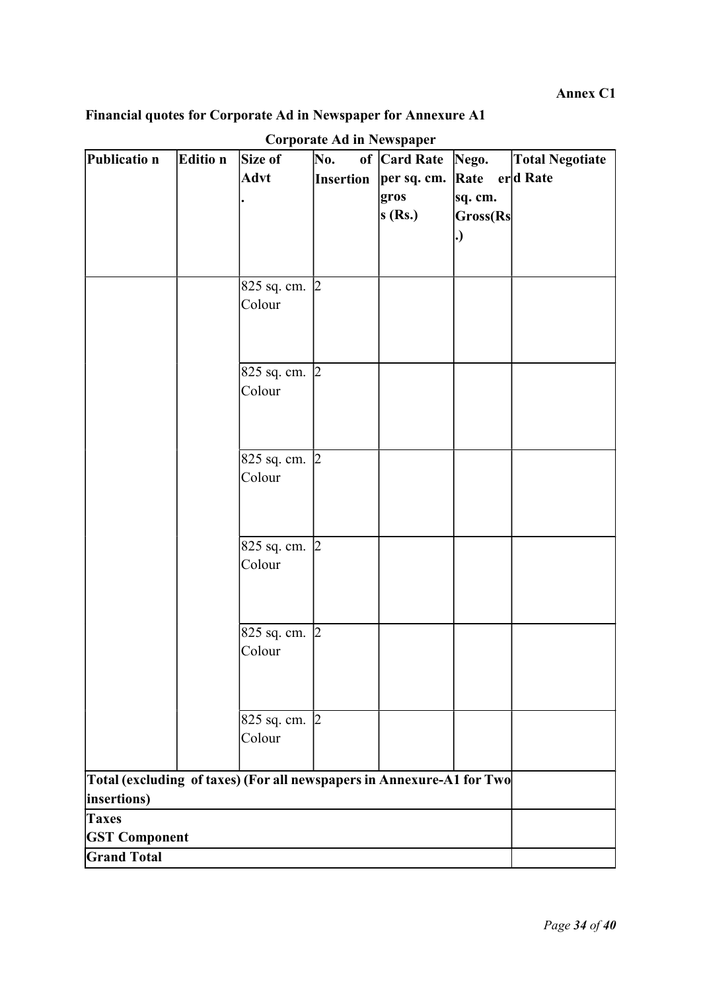Annex C1

## Financial quotes for Corporate Ad in Newspaper for Annexure A1

| of Card Rate<br><b>Advt</b><br>$erd$ Rate<br><b>Insertion</b><br>per sq. cm.<br>Rate<br>gros<br>sq. cm.<br>s(Rs.)<br>Gross(Rs<br>. )<br>825 sq. cm. 2<br>Colour<br>825 sq. cm. 2<br>Colour<br>825 sq. cm. 2<br>Colour<br>825 sq. cm. 2<br>Colour<br>825 sq. cm. 2<br>Colour<br>825 sq. cm. 2<br>Colour<br>Total (excluding of taxes) (For all newspapers in Annexure-A1 for Two<br>insertions)<br><b>Taxes</b><br><b>GST Component</b><br><b>Grand Total</b> | Publicatio n | Editio n | Size of | Corporate Ad in Newspaper<br>No. |       |                        |
|--------------------------------------------------------------------------------------------------------------------------------------------------------------------------------------------------------------------------------------------------------------------------------------------------------------------------------------------------------------------------------------------------------------------------------------------------------------|--------------|----------|---------|----------------------------------|-------|------------------------|
|                                                                                                                                                                                                                                                                                                                                                                                                                                                              |              |          |         |                                  | Nego. | <b>Total Negotiate</b> |
|                                                                                                                                                                                                                                                                                                                                                                                                                                                              |              |          |         |                                  |       |                        |
|                                                                                                                                                                                                                                                                                                                                                                                                                                                              |              |          |         |                                  |       |                        |
|                                                                                                                                                                                                                                                                                                                                                                                                                                                              |              |          |         |                                  |       |                        |
|                                                                                                                                                                                                                                                                                                                                                                                                                                                              |              |          |         |                                  |       |                        |
|                                                                                                                                                                                                                                                                                                                                                                                                                                                              |              |          |         |                                  |       |                        |
|                                                                                                                                                                                                                                                                                                                                                                                                                                                              |              |          |         |                                  |       |                        |
|                                                                                                                                                                                                                                                                                                                                                                                                                                                              |              |          |         |                                  |       |                        |
|                                                                                                                                                                                                                                                                                                                                                                                                                                                              |              |          |         |                                  |       |                        |
|                                                                                                                                                                                                                                                                                                                                                                                                                                                              |              |          |         |                                  |       |                        |
|                                                                                                                                                                                                                                                                                                                                                                                                                                                              |              |          |         |                                  |       |                        |
|                                                                                                                                                                                                                                                                                                                                                                                                                                                              |              |          |         |                                  |       |                        |
|                                                                                                                                                                                                                                                                                                                                                                                                                                                              |              |          |         |                                  |       |                        |
|                                                                                                                                                                                                                                                                                                                                                                                                                                                              |              |          |         |                                  |       |                        |
|                                                                                                                                                                                                                                                                                                                                                                                                                                                              |              |          |         |                                  |       |                        |
|                                                                                                                                                                                                                                                                                                                                                                                                                                                              |              |          |         |                                  |       |                        |
|                                                                                                                                                                                                                                                                                                                                                                                                                                                              |              |          |         |                                  |       |                        |
|                                                                                                                                                                                                                                                                                                                                                                                                                                                              |              |          |         |                                  |       |                        |
|                                                                                                                                                                                                                                                                                                                                                                                                                                                              |              |          |         |                                  |       |                        |
|                                                                                                                                                                                                                                                                                                                                                                                                                                                              |              |          |         |                                  |       |                        |
|                                                                                                                                                                                                                                                                                                                                                                                                                                                              |              |          |         |                                  |       |                        |
|                                                                                                                                                                                                                                                                                                                                                                                                                                                              |              |          |         |                                  |       |                        |
|                                                                                                                                                                                                                                                                                                                                                                                                                                                              |              |          |         |                                  |       |                        |
|                                                                                                                                                                                                                                                                                                                                                                                                                                                              |              |          |         |                                  |       |                        |
|                                                                                                                                                                                                                                                                                                                                                                                                                                                              |              |          |         |                                  |       |                        |
|                                                                                                                                                                                                                                                                                                                                                                                                                                                              |              |          |         |                                  |       |                        |
|                                                                                                                                                                                                                                                                                                                                                                                                                                                              |              |          |         |                                  |       |                        |
|                                                                                                                                                                                                                                                                                                                                                                                                                                                              |              |          |         |                                  |       |                        |
|                                                                                                                                                                                                                                                                                                                                                                                                                                                              |              |          |         |                                  |       |                        |
|                                                                                                                                                                                                                                                                                                                                                                                                                                                              |              |          |         |                                  |       |                        |
|                                                                                                                                                                                                                                                                                                                                                                                                                                                              |              |          |         |                                  |       |                        |
|                                                                                                                                                                                                                                                                                                                                                                                                                                                              |              |          |         |                                  |       |                        |
|                                                                                                                                                                                                                                                                                                                                                                                                                                                              |              |          |         |                                  |       |                        |
|                                                                                                                                                                                                                                                                                                                                                                                                                                                              |              |          |         |                                  |       |                        |
|                                                                                                                                                                                                                                                                                                                                                                                                                                                              |              |          |         |                                  |       |                        |

## $C$ orporate  $Ad$  in  $N$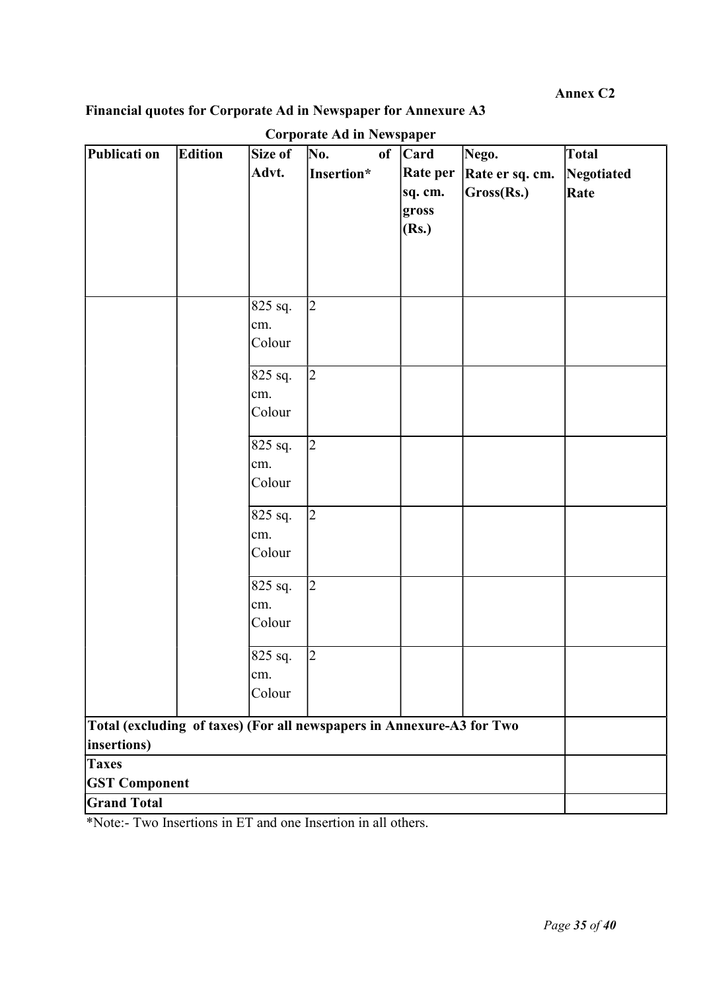Annex C2

## Financial quotes for Corporate Ad in Newspaper for Annexure A3

| Publicati on                                                          | Edition | Size of   | Curpurate Au in Penspaper<br>No. | of | <b>Card</b> | Nego.           | Total      |
|-----------------------------------------------------------------------|---------|-----------|----------------------------------|----|-------------|-----------------|------------|
|                                                                       |         | Advt.     | Insertion*                       |    | Rate per    | Rate er sq. cm. | Negotiated |
|                                                                       |         |           |                                  |    | sq. cm.     | Gross(Rs.)      | Rate       |
|                                                                       |         |           |                                  |    | gross       |                 |            |
|                                                                       |         |           |                                  |    | (Rs.)       |                 |            |
|                                                                       |         |           |                                  |    |             |                 |            |
|                                                                       |         |           |                                  |    |             |                 |            |
|                                                                       |         |           |                                  |    |             |                 |            |
|                                                                       |         | $825$ sq. | $\overline{2}$                   |    |             |                 |            |
|                                                                       |         | cm.       |                                  |    |             |                 |            |
|                                                                       |         | Colour    |                                  |    |             |                 |            |
|                                                                       |         | 825 sq.   | $\overline{2}$                   |    |             |                 |            |
|                                                                       |         | cm.       |                                  |    |             |                 |            |
|                                                                       |         | Colour    |                                  |    |             |                 |            |
|                                                                       |         |           |                                  |    |             |                 |            |
|                                                                       |         | 825 sq.   | $\overline{2}$                   |    |             |                 |            |
|                                                                       |         | cm.       |                                  |    |             |                 |            |
|                                                                       |         | Colour    |                                  |    |             |                 |            |
|                                                                       |         | 825 sq.   | $\overline{2}$                   |    |             |                 |            |
|                                                                       |         | cm.       |                                  |    |             |                 |            |
|                                                                       |         | Colour    |                                  |    |             |                 |            |
|                                                                       |         | 825 sq.   | $\overline{2}$                   |    |             |                 |            |
|                                                                       |         | cm.       |                                  |    |             |                 |            |
|                                                                       |         | Colour    |                                  |    |             |                 |            |
|                                                                       |         |           |                                  |    |             |                 |            |
|                                                                       |         | 825 sq.   | $\overline{2}$                   |    |             |                 |            |
|                                                                       |         | cm.       |                                  |    |             |                 |            |
|                                                                       |         | Colour    |                                  |    |             |                 |            |
| Total (excluding of taxes) (For all newspapers in Annexure-A3 for Two |         |           |                                  |    |             |                 |            |
| insertions)                                                           |         |           |                                  |    |             |                 |            |
| <b>Taxes</b>                                                          |         |           |                                  |    |             |                 |            |
| <b>GST Component</b>                                                  |         |           |                                  |    |             |                 |            |
| <b>Grand Total</b>                                                    |         |           |                                  |    |             |                 |            |

Corporate Ad in Newspaper

\*Note:- Two Insertions in ET and one Insertion in all others.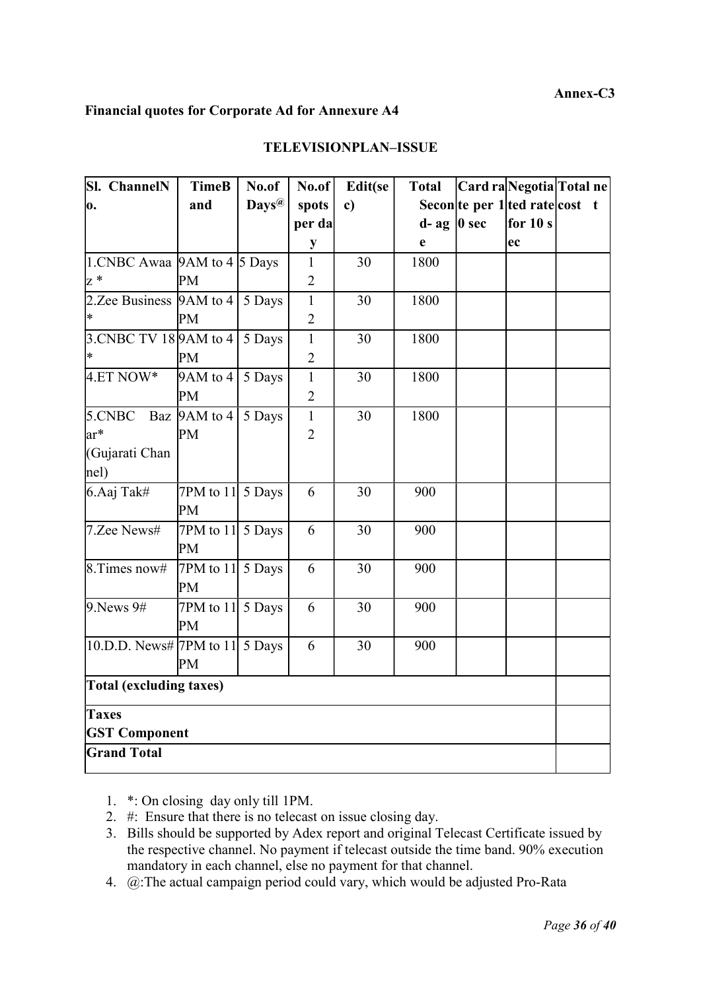#### Annex-C3

#### Financial quotes for Corporate Ad for Annexure A4

| <b>Sl.</b> ChannelN                        | <b>TimeB</b>              | No.of             | No.of          | Edit(se      | <b>Total</b>     | Card raNegotia Total ne        |  |
|--------------------------------------------|---------------------------|-------------------|----------------|--------------|------------------|--------------------------------|--|
| o.                                         | and                       | Days <sup>@</sup> | spots          | $\mathbf{c}$ |                  | Secon te per 1 ted rate cost t |  |
|                                            |                           |                   | per da         |              | $d$ - ag   0 sec | for $10 s$                     |  |
|                                            |                           |                   | $\mathbf{y}$   |              | e                | ec                             |  |
| 1.CNBC Awaa $9AM$ to $4\overline{)5}$ Days |                           |                   | $\mathbf{1}$   | 30           | 1800             |                                |  |
| $z^*$                                      | PM                        |                   | $\overline{2}$ |              |                  |                                |  |
| 2.Zee Business $ 9AM \text{ to } 4 $       |                           | 5 Days            | $\mathbf{1}$   | 30           | 1800             |                                |  |
| l∗                                         | PM                        |                   | $\overline{c}$ |              |                  |                                |  |
| 3.CNBC TV 18 9 AM to 4                     |                           | 5 Days            | $\mathbf{1}$   | 30           | 1800             |                                |  |
| $\ast$                                     | <b>PM</b>                 |                   | $\overline{2}$ |              |                  |                                |  |
| 4.ET NOW*                                  | 9AM to 4                  | 5 Days            | $\mathbf{1}$   | 30           | 1800             |                                |  |
|                                            | PM                        |                   | $\overline{2}$ |              |                  |                                |  |
| 5.CNBC                                     | Baz $ 9AM \text{ to } 4 $ | 5 Days            | $\overline{1}$ | 30           | 1800             |                                |  |
| ar*                                        | PM                        |                   | $\overline{2}$ |              |                  |                                |  |
| (Gujarati Chan                             |                           |                   |                |              |                  |                                |  |
| nel)                                       |                           |                   |                |              |                  |                                |  |
| 6.Aaj Tak#                                 | 7PM to 11 $5$ Days        |                   | 6              | 30           | 900              |                                |  |
|                                            | PM                        |                   |                |              |                  |                                |  |
| 7.Zee News#                                | 7PM to 11 $5$ Days        |                   | 6              | 30           | 900              |                                |  |
|                                            | <b>PM</b>                 |                   |                |              |                  |                                |  |
| $8.$ Times now#                            | 7PM to 11 $5$ Days        |                   | 6              | 30           | 900              |                                |  |
|                                            | PM                        |                   |                |              |                  |                                |  |
| $9.$ News $9#$                             | 7PM to 11 $5$ Days        |                   | 6              | 30           | 900              |                                |  |
|                                            | PM                        |                   |                |              |                  |                                |  |
| 10.D.D. News# 7PM to 11 $\vert$ 5 Days     |                           |                   | 6              | 30           | 900              |                                |  |
|                                            | PM                        |                   |                |              |                  |                                |  |
| <b>Total (excluding taxes)</b>             |                           |                   |                |              |                  |                                |  |
| <b>Taxes</b>                               |                           |                   |                |              |                  |                                |  |
| <b>GST Component</b>                       |                           |                   |                |              |                  |                                |  |
| <b>Grand Total</b>                         |                           |                   |                |              |                  |                                |  |

#### TELEVISIONPLAN–ISSUE

1. \*: On closing day only till 1PM.

- 2. #: Ensure that there is no telecast on issue closing day.
- 3. Bills should be supported by Adex report and original Telecast Certificate issued by the respective channel. No payment if telecast outside the time band. 90% execution mandatory in each channel, else no payment for that channel.
- 4. @:The actual campaign period could vary, which would be adjusted Pro-Rata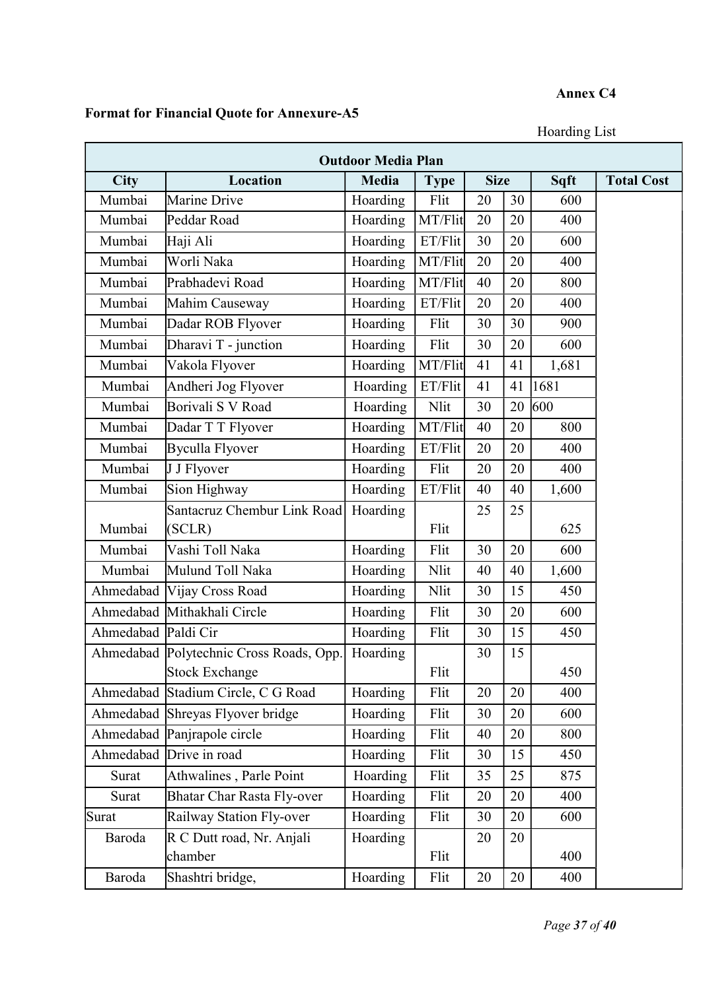## Annex C4

# Format for Financial Quote for Annexure-A5

Hoarding List

| <b>Outdoor Media Plan</b> |                                         |          |             |             |    |       |                   |
|---------------------------|-----------------------------------------|----------|-------------|-------------|----|-------|-------------------|
| City                      | <b>Location</b>                         | Media    | <b>Type</b> | <b>Size</b> |    | Sqft  | <b>Total Cost</b> |
| Mumbai                    | Marine Drive                            | Hoarding | Flit        | 20          | 30 | 600   |                   |
| Mumbai                    | Peddar Road                             | Hoarding | MT/Flit     | 20          | 20 | 400   |                   |
| Mumbai                    | Haji Ali                                | Hoarding | ET/Flit     | 30          | 20 | 600   |                   |
| Mumbai                    | Worli Naka                              | Hoarding | MT/Flit     | 20          | 20 | 400   |                   |
| Mumbai                    | Prabhadevi Road                         | Hoarding | MT/Flit     | 40          | 20 | 800   |                   |
| Mumbai                    | Mahim Causeway                          | Hoarding | ET/Flit     | 20          | 20 | 400   |                   |
| Mumbai                    | Dadar ROB Flyover                       | Hoarding | Flit        | 30          | 30 | 900   |                   |
| Mumbai                    | Dharavi T - junction                    | Hoarding | Flit        | 30          | 20 | 600   |                   |
| Mumbai                    | Vakola Flyover                          | Hoarding | MT/Flit     | 41          | 41 | 1,681 |                   |
| Mumbai                    | Andheri Jog Flyover                     | Hoarding | ET/Flit     | 41          | 41 | 1681  |                   |
| Mumbai                    | Borivali S V Road                       | Hoarding | Nlit        | 30          | 20 | 600   |                   |
| Mumbai                    | Dadar T T Flyover                       | Hoarding | MT/Flit     | 40          | 20 | 800   |                   |
| Mumbai                    | <b>Byculla Flyover</b>                  | Hoarding | ET/Flit     | 20          | 20 | 400   |                   |
| Mumbai                    | J J Flyover                             | Hoarding | Flit        | 20          | 20 | 400   |                   |
| Mumbai                    | Sion Highway                            | Hoarding | ET/Flit     | 40          | 40 | 1,600 |                   |
|                           | Santacruz Chembur Link Road             | Hoarding |             | 25          | 25 |       |                   |
| Mumbai                    | (SCLR)                                  |          | Flit        |             |    | 625   |                   |
| Mumbai                    | Vashi Toll Naka                         | Hoarding | Flit        | 30          | 20 | 600   |                   |
| Mumbai                    | Mulund Toll Naka                        | Hoarding | Nlit        | 40          | 40 | 1,600 |                   |
| Ahmedabad                 | Vijay Cross Road                        | Hoarding | Nlit        | 30          | 15 | 450   |                   |
|                           | Ahmedabad Mithakhali Circle             | Hoarding | Flit        | 30          | 20 | 600   |                   |
| Ahmedabad Paldi Cir       |                                         | Hoarding | Flit        | 30          | 15 | 450   |                   |
|                           | Ahmedabad Polytechnic Cross Roads, Opp. | Hoarding |             | 30          | 15 |       |                   |
|                           | Stock Exchange                          |          | Flit        |             |    | 450   |                   |
| Ahmedabad                 | Stadium Circle, C G Road                | Hoarding | Flit        | 20          | 20 | 400   |                   |
|                           | Ahmedabad Shreyas Flyover bridge        | Hoarding | Flit        | 30          | 20 | 600   |                   |
|                           | Ahmedabad Panjrapole circle             | Hoarding | Flit        | 40          | 20 | 800   |                   |
|                           | Ahmedabad Drive in road                 | Hoarding | Flit        | 30          | 15 | 450   |                   |
| Surat                     | Athwalines, Parle Point                 | Hoarding | Flit        | 35          | 25 | 875   |                   |
| Surat                     | <b>Bhatar Char Rasta Fly-over</b>       | Hoarding | Flit        | 20          | 20 | 400   |                   |
| Surat                     | Railway Station Fly-over                | Hoarding | Flit        | 30          | 20 | 600   |                   |
| Baroda                    | R C Dutt road, Nr. Anjali               | Hoarding |             | 20          | 20 |       |                   |
|                           | chamber                                 |          | Flit        |             |    | 400   |                   |
| Baroda                    | Shashtri bridge,                        | Hoarding | Flit        | 20          | 20 | 400   |                   |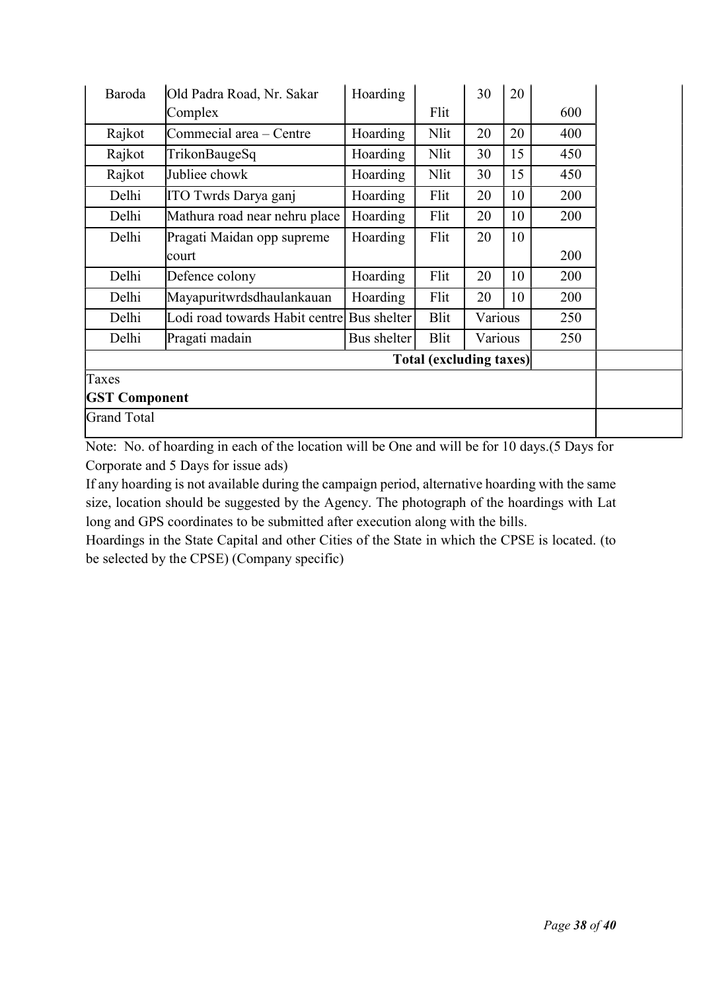| Baroda                         | Old Padra Road, Nr. Sakar      | Hoarding    |      | 30      | 20 |     |  |
|--------------------------------|--------------------------------|-------------|------|---------|----|-----|--|
|                                | Complex                        |             | Flit |         |    | 600 |  |
| Rajkot                         | Commecial area – Centre        | Hoarding    | Nlit | 20      | 20 | 400 |  |
| Rajkot                         | TrikonBaugeSq                  | Hoarding    | Nlit | 30      | 15 | 450 |  |
| Rajkot                         | Jubliee chowk                  | Hoarding    | Nlit | 30      | 15 | 450 |  |
| Delhi                          | ITO Twrds Darya ganj           | Hoarding    | Flit | 20      | 10 | 200 |  |
| Delhi                          | Mathura road near nehru place  | Hoarding    | Flit | 20      | 10 | 200 |  |
| Delhi                          | Pragati Maidan opp supreme     | Hoarding    | Flit | 20      | 10 |     |  |
|                                | court                          |             |      |         |    | 200 |  |
| Delhi                          | Defence colony                 | Hoarding    | Flit | 20      | 10 | 200 |  |
| Delhi                          | Mayapuritwrdsdhaulankauan      | Hoarding    | Flit | 20      | 10 | 200 |  |
| Delhi                          | Lodi road towards Habit centre | Bus shelter | Blit | Various |    | 250 |  |
| Delhi                          | Pragati madain                 | Bus shelter | Blit | Various |    | 250 |  |
| <b>Total (excluding taxes)</b> |                                |             |      |         |    |     |  |
| Taxes                          |                                |             |      |         |    |     |  |
| <b>GST Component</b>           |                                |             |      |         |    |     |  |
| <b>Grand Total</b>             |                                |             |      |         |    |     |  |

Note: No. of hoarding in each of the location will be One and will be for 10 days.(5 Days for Corporate and 5 Days for issue ads)

If any hoarding is not available during the campaign period, alternative hoarding with the same size, location should be suggested by the Agency. The photograph of the hoardings with Lat long and GPS coordinates to be submitted after execution along with the bills.

Hoardings in the State Capital and other Cities of the State in which the CPSE is located. (to be selected by the CPSE) (Company specific)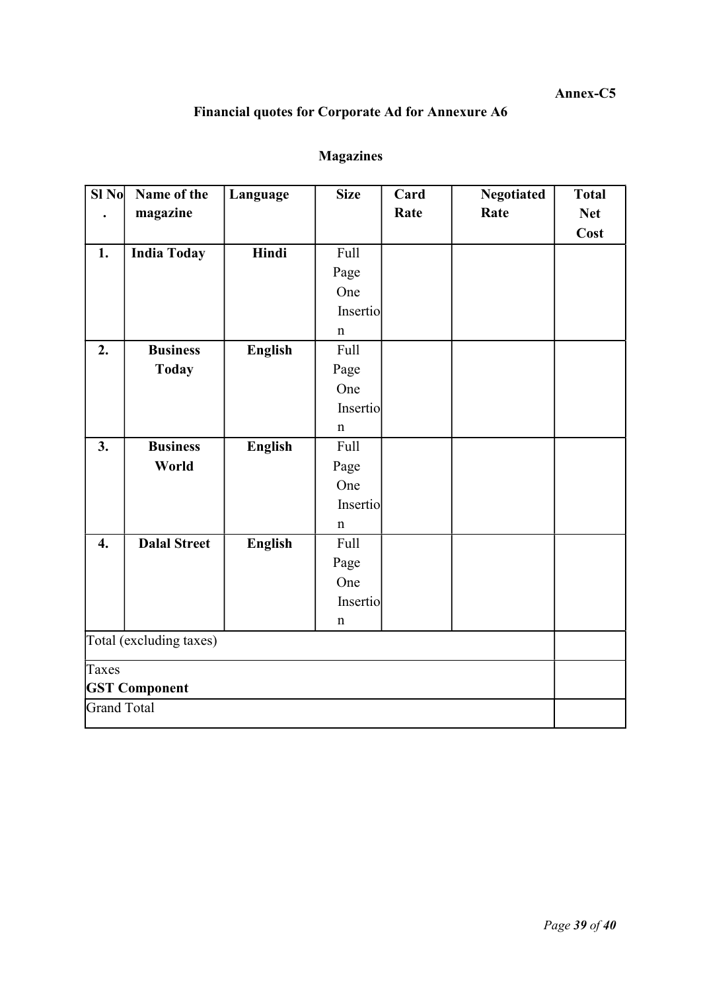## Annex-C5

## Financial quotes for Corporate Ad for Annexure A6

# Magazines

| $SI$ No            | Name of the             | Language       | <b>Size</b> | Card | <b>Negotiated</b> | <b>Total</b> |
|--------------------|-------------------------|----------------|-------------|------|-------------------|--------------|
|                    | magazine                |                |             | Rate | Rate              | <b>Net</b>   |
|                    |                         |                |             |      |                   | Cost         |
| 1.                 | <b>India Today</b>      | Hindi          | Full        |      |                   |              |
|                    |                         |                | Page        |      |                   |              |
|                    |                         |                | One         |      |                   |              |
|                    |                         |                | Insertio    |      |                   |              |
|                    |                         |                | $\mathbf n$ |      |                   |              |
| 2.                 | <b>Business</b>         | <b>English</b> | Full        |      |                   |              |
|                    | <b>Today</b>            |                | Page        |      |                   |              |
|                    |                         |                | One         |      |                   |              |
|                    |                         |                | Insertio    |      |                   |              |
|                    |                         |                | $\mathbf n$ |      |                   |              |
| 3.                 | <b>Business</b>         | <b>English</b> | Full        |      |                   |              |
|                    | World                   |                | Page        |      |                   |              |
|                    |                         |                | One         |      |                   |              |
|                    |                         |                | Insertio    |      |                   |              |
|                    |                         |                | $\mathbf n$ |      |                   |              |
| $\boldsymbol{4}$ . | <b>Dalal Street</b>     | <b>English</b> | <b>Full</b> |      |                   |              |
|                    |                         |                | Page        |      |                   |              |
|                    |                         |                | One         |      |                   |              |
|                    |                         |                | Insertio    |      |                   |              |
|                    |                         |                | $\mathbf n$ |      |                   |              |
|                    | Total (excluding taxes) |                |             |      |                   |              |
| Taxes              | <b>GST Component</b>    |                |             |      |                   |              |
| <b>Grand Total</b> |                         |                |             |      |                   |              |